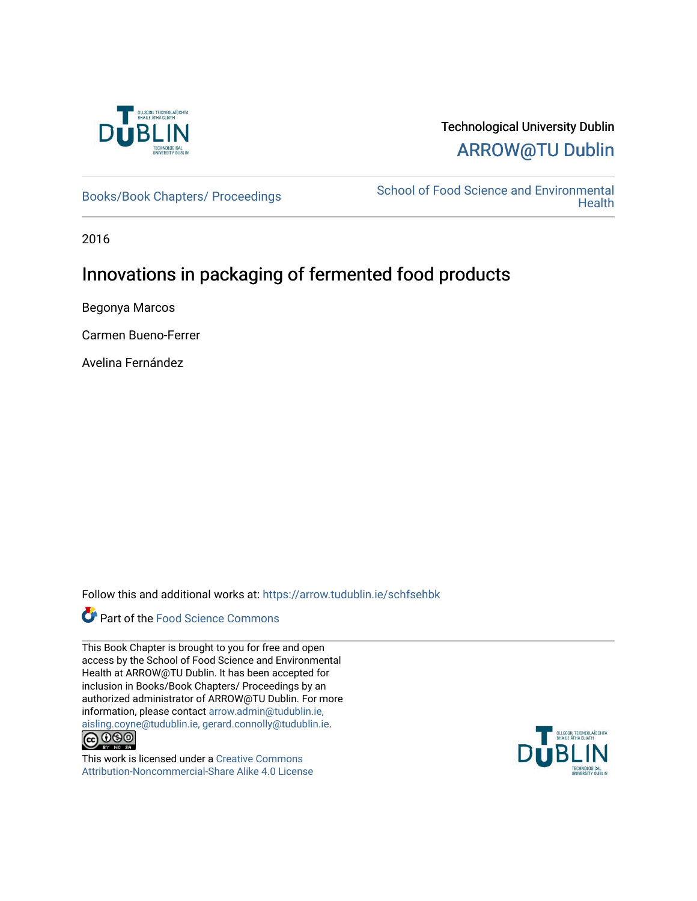

# Technological University Dublin [ARROW@TU Dublin](https://arrow.tudublin.ie/)

[Books/Book Chapters/ Proceedings](https://arrow.tudublin.ie/schfsehbk) School of Food Science and Environmental **Health** 

2016

# Innovations in packaging of fermented food products

Begonya Marcos

Carmen Bueno-Ferrer

Avelina Fernández

Follow this and additional works at: [https://arrow.tudublin.ie/schfsehbk](https://arrow.tudublin.ie/schfsehbk?utm_source=arrow.tudublin.ie%2Fschfsehbk%2F16&utm_medium=PDF&utm_campaign=PDFCoverPages) 

# Part of the [Food Science Commons](http://network.bepress.com/hgg/discipline/84?utm_source=arrow.tudublin.ie%2Fschfsehbk%2F16&utm_medium=PDF&utm_campaign=PDFCoverPages)

This Book Chapter is brought to you for free and open access by the School of Food Science and Environmental Health at ARROW@TU Dublin. It has been accepted for inclusion in Books/Book Chapters/ Proceedings by an authorized administrator of ARROW@TU Dublin. For more information, please contact [arrow.admin@tudublin.ie,](mailto:arrow.admin@tudublin.ie,%20aisling.coyne@tudublin.ie,%20gerard.connolly@tudublin.ie)  [aisling.coyne@tudublin.ie, gerard.connolly@tudublin.ie](mailto:arrow.admin@tudublin.ie,%20aisling.coyne@tudublin.ie,%20gerard.connolly@tudublin.ie).



This work is licensed under a [Creative Commons](http://creativecommons.org/licenses/by-nc-sa/4.0/) [Attribution-Noncommercial-Share Alike 4.0 License](http://creativecommons.org/licenses/by-nc-sa/4.0/)

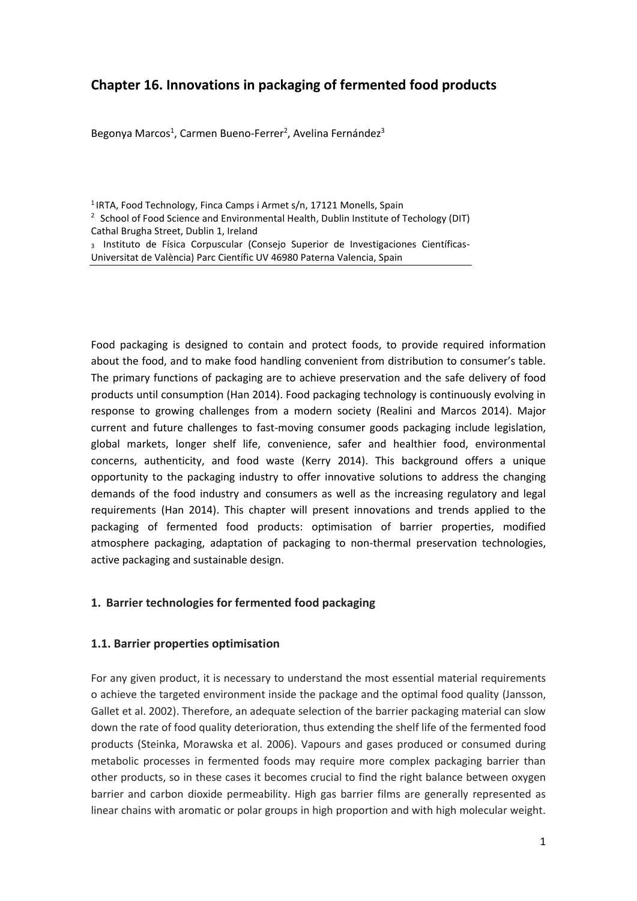# **Chapter 16. Innovations in packaging of fermented food products**

Begonya Marcos<sup>1</sup>, Carmen Bueno-Ferrer<sup>2</sup>, Avelina Fernández<sup>3</sup>

<sup>1</sup> IRTA, Food Technology, Finca Camps i Armet s/n, 17121 Monells, Spain

Food packaging is designed to contain and protect foods, to provide required information about the food, and to make food handling convenient from distribution to consumer's table. The primary functions of packaging are to achieve preservation and the safe delivery of food products until consumption (Han 2014). Food packaging technology is continuously evolving in response to growing challenges from a modern society (Realini and Marcos 2014). Major current and future challenges to fast-moving consumer goods packaging include legislation, global markets, longer shelf life, convenience, safer and healthier food, environmental concerns, authenticity, and food waste (Kerry 2014). This background offers a unique opportunity to the packaging industry to offer innovative solutions to address the changing demands of the food industry and consumers as well as the increasing regulatory and legal requirements (Han 2014). This chapter will present innovations and trends applied to the packaging of fermented food products: optimisation of barrier properties, modified atmosphere packaging, adaptation of packaging to non-thermal preservation technologies, active packaging and sustainable design.

# **1. Barrier technologies for fermented food packaging**

#### **1.1. Barrier properties optimisation**

For any given product, it is necessary to understand the most essential material requirements o achieve the targeted environment inside the package and the optimal food quality (Jansson, Gallet et al. 2002). Therefore, an adequate selection of the barrier packaging material can slow down the rate of food quality deterioration, thus extending the shelf life of the fermented food products (Steinka, Morawska et al. 2006). Vapours and gases produced or consumed during metabolic processes in fermented foods may require more complex packaging barrier than other products, so in these cases it becomes crucial to find the right balance between oxygen barrier and carbon dioxide permeability. High gas barrier films are generally represented as linear chains with aromatic or polar groups in high proportion and with high molecular weight.

<sup>&</sup>lt;sup>2</sup> School of Food Science and Environmental Health, Dublin Institute of Techology (DIT) Cathal Brugha Street, Dublin 1, Ireland

<sup>3</sup> Instituto de Física Corpuscular (Consejo Superior de Investigaciones Científicas-Universitat de València) Parc Científic UV 46980 Paterna Valencia, Spain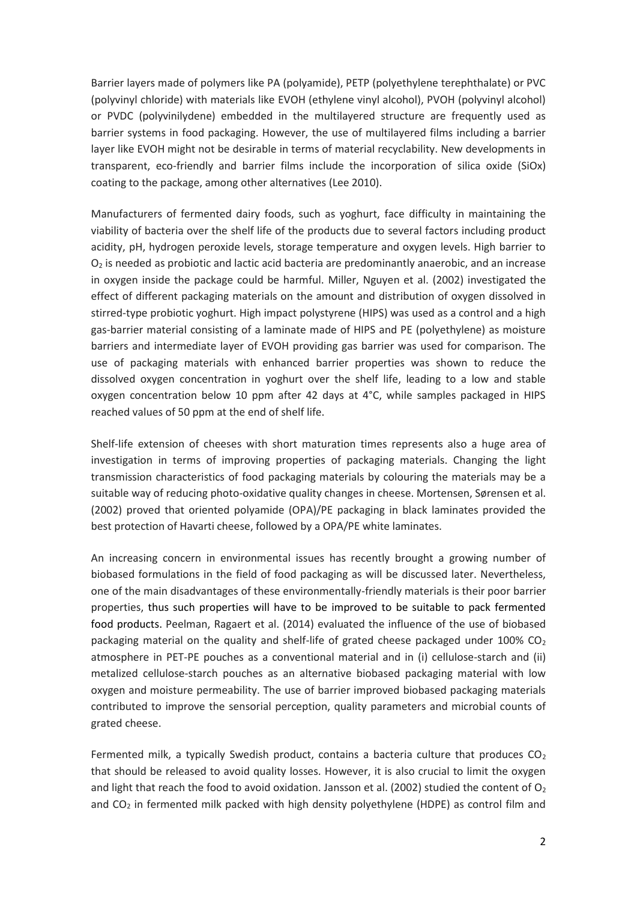Barrier layers made of polymers like PA (polyamide), PETP (polyethylene terephthalate) or PVC (polyvinyl chloride) with materials like EVOH (ethylene vinyl alcohol), PVOH (polyvinyl alcohol) or PVDC (polyvinilydene) embedded in the multilayered structure are frequently used as barrier systems in food packaging. However, the use of multilayered films including a barrier layer like EVOH might not be desirable in terms of material recyclability. New developments in transparent, eco-friendly and barrier films include the incorporation of silica oxide (SiOx) coating to the package, among other alternatives (Lee 2010).

Manufacturers of fermented dairy foods, such as yoghurt, face difficulty in maintaining the viability of bacteria over the shelf life of the products due to several factors including product acidity, pH, hydrogen peroxide levels, storage temperature and oxygen levels. High barrier to  $O<sub>2</sub>$  is needed as probiotic and lactic acid bacteria are predominantly anaerobic, and an increase in oxygen inside the package could be harmful. Miller, Nguyen et al. (2002) investigated the effect of different packaging materials on the amount and distribution of oxygen dissolved in stirred-type probiotic yoghurt. High impact polystyrene (HIPS) was used as a control and a high gas-barrier material consisting of a laminate made of HIPS and PE (polyethylene) as moisture barriers and intermediate layer of EVOH providing gas barrier was used for comparison. The use of packaging materials with enhanced barrier properties was shown to reduce the dissolved oxygen concentration in yoghurt over the shelf life, leading to a low and stable oxygen concentration below 10 ppm after 42 days at 4°C, while samples packaged in HIPS reached values of 50 ppm at the end of shelf life.

Shelf-life extension of cheeses with short maturation times represents also a huge area of investigation in terms of improving properties of packaging materials. Changing the light transmission characteristics of food packaging materials by colouring the materials may be a suitable way of reducing photo-oxidative quality changes in cheese. Mortensen, Sørensen et al. (2002) proved that oriented polyamide (OPA)/PE packaging in black laminates provided the best protection of Havarti cheese, followed by a OPA/PE white laminates.

An increasing concern in environmental issues has recently brought a growing number of biobased formulations in the field of food packaging as will be discussed later. Nevertheless, one of the main disadvantages of these environmentally-friendly materials is their poor barrier properties, thus such properties will have to be improved to be suitable to pack fermented food products. Peelman, Ragaert et al. (2014) evaluated the influence of the use of biobased packaging material on the quality and shelf-life of grated cheese packaged under  $100\%$  CO<sub>2</sub> atmosphere in PET-PE pouches as a conventional material and in (i) cellulose-starch and (ii) metalized cellulose-starch pouches as an alternative biobased packaging material with low oxygen and moisture permeability. The use of barrier improved biobased packaging materials contributed to improve the sensorial perception, quality parameters and microbial counts of grated cheese.

Fermented milk, a typically Swedish product, contains a bacteria culture that produces  $CO<sub>2</sub>$ that should be released to avoid quality losses. However, it is also crucial to limit the oxygen and light that reach the food to avoid oxidation. Jansson et al. (2002) studied the content of  $O_2$ and  $CO<sub>2</sub>$  in fermented milk packed with high density polyethylene (HDPE) as control film and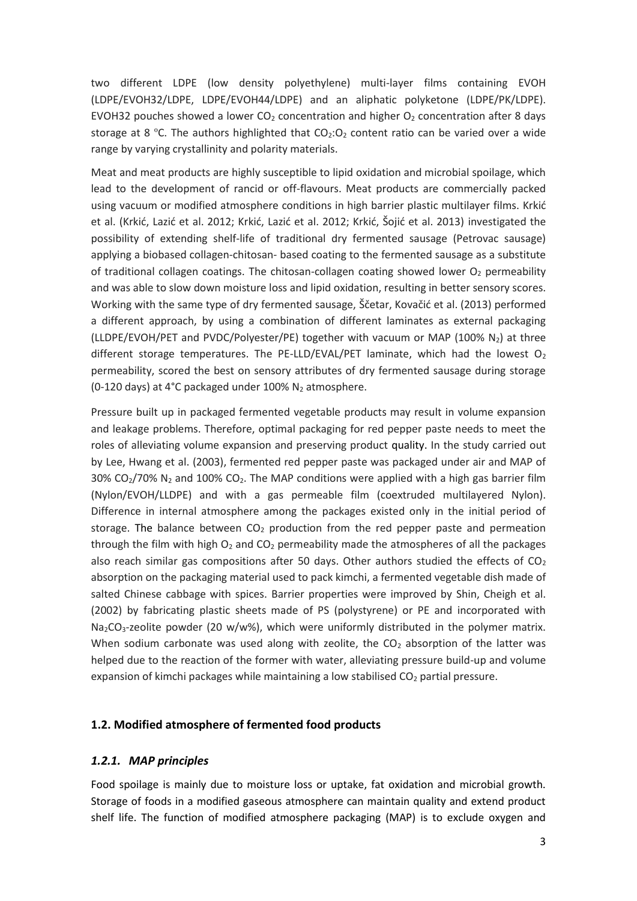two different LDPE (low density polyethylene) multi-layer films containing EVOH (LDPE/EVOH32/LDPE, LDPE/EVOH44/LDPE) and an aliphatic polyketone (LDPE/PK/LDPE). EVOH32 pouches showed a lower CO<sub>2</sub> concentration and higher  $O<sub>2</sub>$  concentration after 8 days storage at 8 °C. The authors highlighted that  $CO<sub>2</sub>:O<sub>2</sub>$  content ratio can be varied over a wide range by varying crystallinity and polarity materials.

Meat and meat products are highly susceptible to lipid oxidation and microbial spoilage, which lead to the development of rancid or off-flavours. Meat products are commercially packed using vacuum or modified atmosphere conditions in high barrier plastic multilayer films. Krkić et al. (Krkić, Lazić et al. 2012; Krkić, Lazić et al. 2012; Krkić, Šojić et al. 2013) investigated the possibility of extending shelf-life of traditional dry fermented sausage (Petrovac sausage) applying a biobased collagen-chitosan- based coating to the fermented sausage as a substitute of traditional collagen coatings. The chitosan-collagen coating showed lower  $O<sub>2</sub>$  permeability and was able to slow down moisture loss and lipid oxidation, resulting in better sensory scores. Working with the same type of dry fermented sausage, Ščetar, Kovačić et al. (2013) performed a different approach, by using a combination of different laminates as external packaging (LLDPE/EVOH/PET and PVDC/Polyester/PE) together with vacuum or MAP (100% N<sub>2</sub>) at three different storage temperatures. The PE-LLD/EVAL/PET laminate, which had the lowest  $O<sub>2</sub>$ permeability, scored the best on sensory attributes of dry fermented sausage during storage (0-120 days) at 4°C packaged under 100%  $N_2$  atmosphere.

Pressure built up in packaged fermented vegetable products may result in volume expansion and leakage problems. Therefore, optimal packaging for red pepper paste needs to meet the roles of alleviating volume expansion and preserving product quality. In the study carried out by Lee, Hwang et al. (2003), fermented red pepper paste was packaged under air and MAP of 30%  $CO<sub>2</sub>/70$ % N<sub>2</sub> and 100%  $CO<sub>2</sub>$ . The MAP conditions were applied with a high gas barrier film (Nylon/EVOH/LLDPE) and with a gas permeable film (coextruded multilayered Nylon). Difference in internal atmosphere among the packages existed only in the initial period of storage. The balance between  $CO<sub>2</sub>$  production from the red pepper paste and permeation through the film with high  $O_2$  and  $CO_2$  permeability made the atmospheres of all the packages also reach similar gas compositions after 50 days. Other authors studied the effects of  $CO<sub>2</sub>$ absorption on the packaging material used to pack kimchi, a fermented vegetable dish made of salted Chinese cabbage with spices. Barrier properties were improved by Shin, Cheigh et al. (2002) by fabricating plastic sheets made of PS (polystyrene) or PE and incorporated with Na<sub>2</sub>CO<sub>3</sub>-zeolite powder (20 w/w%), which were uniformly distributed in the polymer matrix. When sodium carbonate was used along with zeolite, the  $CO<sub>2</sub>$  absorption of the latter was helped due to the reaction of the former with water, alleviating pressure build-up and volume expansion of kimchi packages while maintaining a low stabilised  $CO<sub>2</sub>$  partial pressure.

# **1.2. Modified atmosphere of fermented food products**

#### *1.2.1. MAP principles*

Food spoilage is mainly due to moisture loss or uptake, fat oxidation and microbial growth. Storage of foods in a modified gaseous atmosphere can maintain quality and extend product shelf life. The function of modified atmosphere packaging (MAP) is to exclude oxygen and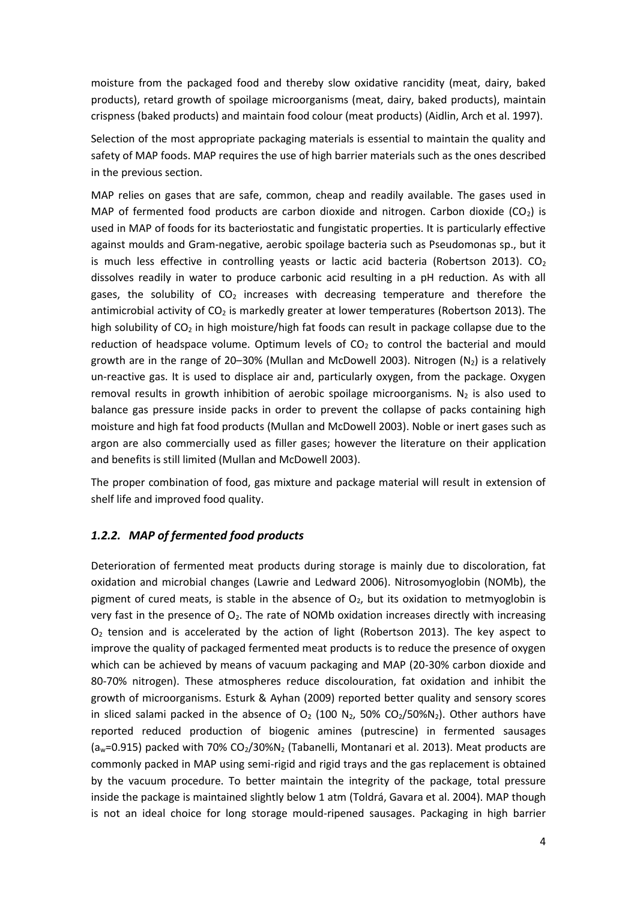moisture from the packaged food and thereby slow oxidative rancidity (meat, dairy, baked products), retard growth of spoilage microorganisms (meat, dairy, baked products), maintain crispness (baked products) and maintain food colour (meat products) (Aidlin, Arch et al. 1997).

Selection of the most appropriate packaging materials is essential to maintain the quality and safety of MAP foods. MAP requires the use of high barrier materials such as the ones described in the previous section.

MAP relies on gases that are safe, common, cheap and readily available. The gases used in MAP of fermented food products are carbon dioxide and nitrogen. Carbon dioxide  $(CO_2)$  is used in MAP of foods for its bacteriostatic and fungistatic properties. It is particularly effective against moulds and Gram-negative, aerobic spoilage bacteria such as Pseudomonas sp., but it is much less effective in controlling yeasts or lactic acid bacteria (Robertson 2013).  $CO<sub>2</sub>$ dissolves readily in water to produce carbonic acid resulting in a pH reduction. As with all gases, the solubility of  $CO<sub>2</sub>$  increases with decreasing temperature and therefore the antimicrobial activity of  $CO<sub>2</sub>$  is markedly greater at lower temperatures (Robertson 2013). The high solubility of  $CO<sub>2</sub>$  in high moisture/high fat foods can result in package collapse due to the reduction of headspace volume. Optimum levels of  $CO<sub>2</sub>$  to control the bacterial and mould growth are in the range of 20–30% (Mullan and McDowell 2003). Nitrogen  $(N_2)$  is a relatively un-reactive gas. It is used to displace air and, particularly oxygen, from the package. Oxygen removal results in growth inhibition of aerobic spoilage microorganisms. N<sub>2</sub> is also used to balance gas pressure inside packs in order to prevent the collapse of packs containing high moisture and high fat food products (Mullan and McDowell 2003). Noble or inert gases such as argon are also commercially used as filler gases; however the literature on their application and benefits is still limited (Mullan and McDowell 2003).

The proper combination of food, gas mixture and package material will result in extension of shelf life and improved food quality.

# *1.2.2. MAP of fermented food products*

Deterioration of fermented meat products during storage is mainly due to discoloration, fat oxidation and microbial changes (Lawrie and Ledward 2006). Nitrosomyoglobin (NOMb), the pigment of cured meats, is stable in the absence of  $O<sub>2</sub>$ , but its oxidation to metmyoglobin is very fast in the presence of  $O<sub>2</sub>$ . The rate of NOMb oxidation increases directly with increasing  $O<sub>2</sub>$  tension and is accelerated by the action of light (Robertson 2013). The key aspect to improve the quality of packaged fermented meat products is to reduce the presence of oxygen which can be achieved by means of vacuum packaging and MAP (20-30% carbon dioxide and 80-70% nitrogen). These atmospheres reduce discolouration, fat oxidation and inhibit the growth of microorganisms. Esturk & Ayhan (2009) reported better quality and sensory scores in sliced salami packed in the absence of  $O_2$  (100 N<sub>2</sub>, 50% CO<sub>2</sub>/50%N<sub>2</sub>). Other authors have reported reduced production of biogenic amines (putrescine) in fermented sausages  $(a<sub>w</sub>=0.915)$  packed with 70% CO<sub>2</sub>/30%N<sub>2</sub> (Tabanelli, Montanari et al. 2013). Meat products are commonly packed in MAP using semi-rigid and rigid trays and the gas replacement is obtained by the vacuum procedure. To better maintain the integrity of the package, total pressure inside the package is maintained slightly below 1 atm (Toldrá, Gavara et al. 2004). MAP though is not an ideal choice for long storage mould-ripened sausages. Packaging in high barrier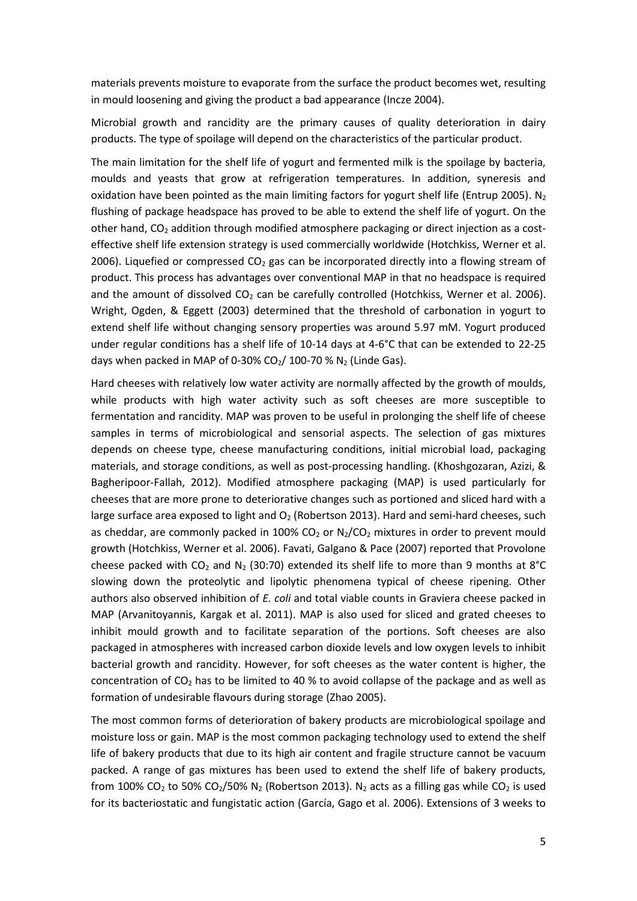materials prevents moisture to evaporate from the surface the product becomes wet, resulting in mould loosening and giving the product a bad appearance (Incze 2004).

Microbial growth and rancidity are the primary causes of quality deterioration in dairy products. The type of spoilage will depend on the characteristics of the particular product.

The main limitation for the shelf life of yogurt and fermented milk is the spoilage by bacteria, moulds and yeasts that grow at refrigeration temperatures. In addition, syneresis and oxidation have been pointed as the main limiting factors for yogurt shelf life (Entrup 2005). N<sub>2</sub> flushing of package headspace has proved to be able to extend the shelf life of yogurt. On the other hand,  $CO<sub>2</sub>$  addition through modified atmosphere packaging or direct injection as a costeffective shelf life extension strategy is used commercially worldwide (Hotchkiss, Werner et al. 2006). Liquefied or compressed  $CO<sub>2</sub>$  gas can be incorporated directly into a flowing stream of product. This process has advantages over conventional MAP in that no headspace is required and the amount of dissolved  $CO<sub>2</sub>$  can be carefully controlled (Hotchkiss, Werner et al. 2006). Wright, Ogden, & Eggett (2003) determined that the threshold of carbonation in yogurt to extend shelf life without changing sensory properties was around 5.97 mM. Yogurt produced under regular conditions has a shelf life of 10-14 days at 4-6°C that can be extended to 22-25 days when packed in MAP of 0-30%  $CO<sub>2</sub>/100-70$  % N<sub>2</sub> (Linde Gas).

Hard cheeses with relatively low water activity are normally affected by the growth of moulds, while products with high water activity such as soft cheeses are more susceptible to fermentation and rancidity. MAP was proven to be useful in prolonging the shelf life of cheese samples in terms of microbiological and sensorial aspects. The selection of gas mixtures depends on cheese type, cheese manufacturing conditions, initial microbial load, packaging materials, and storage conditions, as well as post-processing handling. (Khoshgozaran, Azizi, & Bagheripoor-Fallah, 2012). Modified atmosphere packaging (MAP) is used particularly for cheeses that are more prone to deteriorative changes such as portioned and sliced hard with a large surface area exposed to light and  $O<sub>2</sub>$  (Robertson 2013). Hard and semi-hard cheeses, such as cheddar, are commonly packed in 100%  $CO<sub>2</sub>$  or  $N<sub>2</sub>/CO<sub>2</sub>$  mixtures in order to prevent mould growth (Hotchkiss, Werner et al. 2006). Favati, Galgano & Pace (2007) reported that Provolone cheese packed with CO<sub>2</sub> and N<sub>2</sub> (30:70) extended its shelf life to more than 9 months at 8°C slowing down the proteolytic and lipolytic phenomena typical of cheese ripening. Other authors also observed inhibition of *E. coli* and total viable counts in Graviera cheese packed in MAP (Arvanitoyannis, Kargak et al. 2011). MAP is also used for sliced and grated cheeses to inhibit mould growth and to facilitate separation of the portions. Soft cheeses are also packaged in atmospheres with increased carbon dioxide levels and low oxygen levels to inhibit bacterial growth and rancidity. However, for soft cheeses as the water content is higher, the concentration of  $CO<sub>2</sub>$  has to be limited to 40 % to avoid collapse of the package and as well as formation of undesirable flavours during storage (Zhao 2005).

The most common forms of deterioration of bakery products are microbiological spoilage and moisture loss or gain. MAP is the most common packaging technology used to extend the shelf life of bakery products that due to its high air content and fragile structure cannot be vacuum packed. A range of gas mixtures has been used to extend the shelf life of bakery products, from 100% CO<sub>2</sub> to 50% CO<sub>2</sub>/50% N<sub>2</sub> (Robertson 2013). N<sub>2</sub> acts as a filling gas while CO<sub>2</sub> is used for its bacteriostatic and fungistatic action (García, Gago et al. 2006). Extensions of 3 weeks to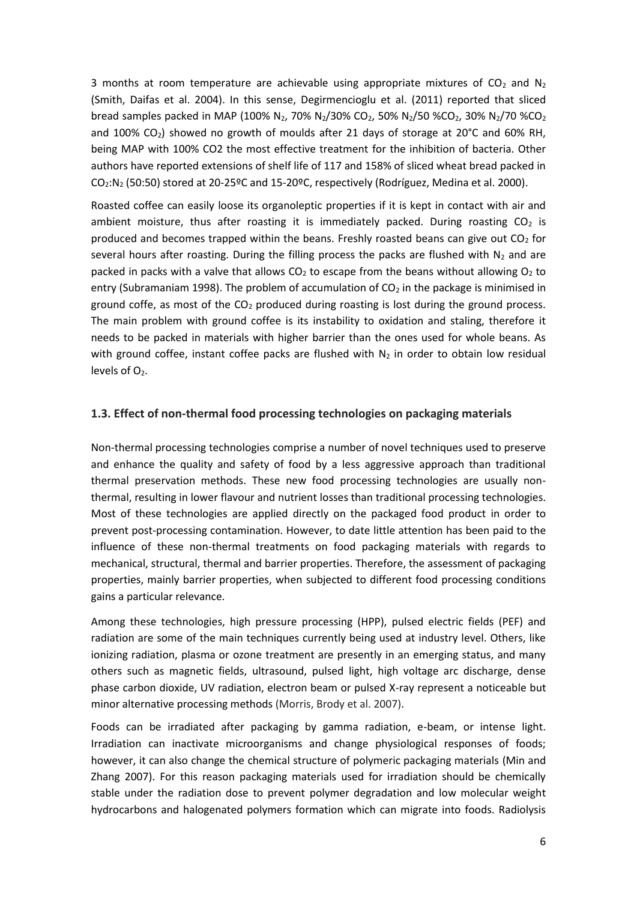3 months at room temperature are achievable using appropriate mixtures of  $CO<sub>2</sub>$  and N<sub>2</sub> (Smith, Daifas et al. 2004). In this sense, Degirmencioglu et al. (2011) reported that sliced bread samples packed in MAP (100% N<sub>2</sub>, 70% N<sub>2</sub>/30% CO<sub>2</sub>, 50% N<sub>2</sub>/50 %CO<sub>2</sub>, 30% N<sub>2</sub>/70 %CO<sub>2</sub> and 100%  $CO<sub>2</sub>$ ) showed no growth of moulds after 21 days of storage at 20°C and 60% RH, being MAP with 100% CO2 the most effective treatment for the inhibition of bacteria. Other authors have reported extensions of shelf life of 117 and 158% of sliced wheat bread packed in CO2:N<sup>2</sup> (50:50) stored at 20-25ºC and 15-20ºC, respectively (Rodríguez, Medina et al. 2000).

Roasted coffee can easily loose its organoleptic properties if it is kept in contact with air and ambient moisture, thus after roasting it is immediately packed. During roasting  $CO<sub>2</sub>$  is produced and becomes trapped within the beans. Freshly roasted beans can give out  $CO<sub>2</sub>$  for several hours after roasting. During the filling process the packs are flushed with  $N_2$  and are packed in packs with a valve that allows  $CO<sub>2</sub>$  to escape from the beans without allowing  $O<sub>2</sub>$  to entry (Subramaniam 1998). The problem of accumulation of  $CO<sub>2</sub>$  in the package is minimised in ground coffe, as most of the  $CO<sub>2</sub>$  produced during roasting is lost during the ground process. The main problem with ground coffee is its instability to oxidation and staling, therefore it needs to be packed in materials with higher barrier than the ones used for whole beans. As with ground coffee, instant coffee packs are flushed with  $N_2$  in order to obtain low residual levels of  $O<sub>2</sub>$ .

# **1.3. Effect of non-thermal food processing technologies on packaging materials**

Non-thermal processing technologies comprise a number of novel techniques used to preserve and enhance the quality and safety of food by a less aggressive approach than traditional thermal preservation methods. These new food processing technologies are usually nonthermal, resulting in lower flavour and nutrient losses than traditional processing technologies. Most of these technologies are applied directly on the packaged food product in order to prevent post-processing contamination. However, to date little attention has been paid to the influence of these non-thermal treatments on food packaging materials with regards to mechanical, structural, thermal and barrier properties. Therefore, the assessment of packaging properties, mainly barrier properties, when subjected to different food processing conditions gains a particular relevance.

Among these technologies, high pressure processing (HPP), pulsed electric fields (PEF) and radiation are some of the main techniques currently being used at industry level. Others, like ionizing radiation, plasma or ozone treatment are presently in an emerging status, and many others such as magnetic fields, ultrasound, pulsed light, high voltage arc discharge, dense phase carbon dioxide, UV radiation, electron beam or pulsed X-ray represent a noticeable but minor alternative processing methods (Morris, Brody et al. 2007).

Foods can be irradiated after packaging by gamma radiation, e-beam, or intense light. Irradiation can inactivate microorganisms and change physiological responses of foods; however, it can also change the chemical structure of polymeric packaging materials (Min and Zhang 2007). For this reason packaging materials used for irradiation should be chemically stable under the radiation dose to prevent polymer degradation and low molecular weight hydrocarbons and halogenated polymers formation which can migrate into foods. Radiolysis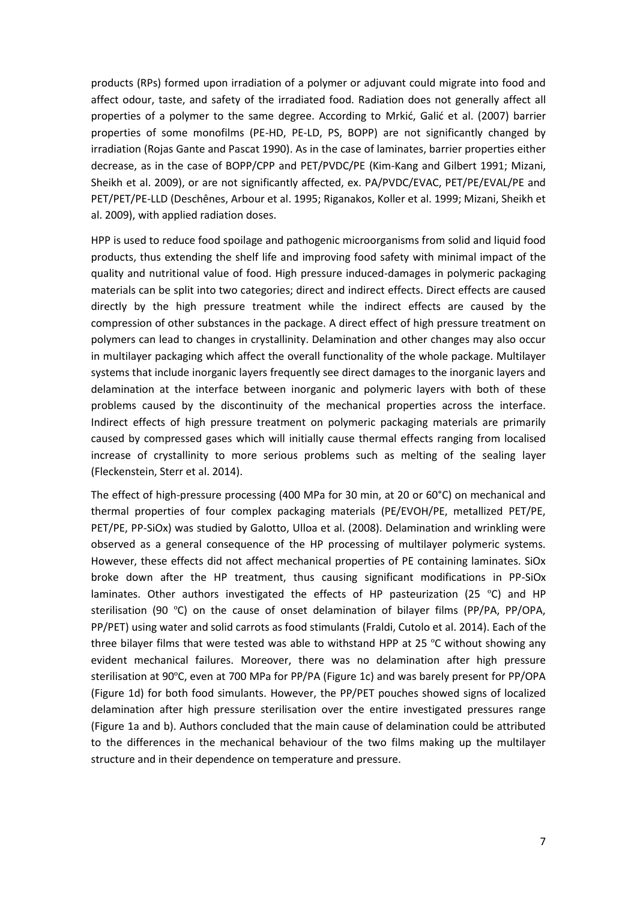products (RPs) formed upon irradiation of a polymer or adjuvant could migrate into food and affect odour, taste, and safety of the irradiated food. Radiation does not generally affect all properties of a polymer to the same degree. According to Mrkić, Galić et al. (2007) barrier properties of some monofilms (PE-HD, PE-LD, PS, BOPP) are not significantly changed by irradiation (Rojas Gante and Pascat 1990). As in the case of laminates, barrier properties either decrease, as in the case of BOPP/CPP and PET/PVDC/PE (Kim-Kang and Gilbert 1991; Mizani, Sheikh et al. 2009), or are not significantly affected, ex. PA/PVDC/EVAC, PET/PE/EVAL/PE and PET/PET/PE-LLD (Deschênes, Arbour et al. 1995; Riganakos, Koller et al. 1999; Mizani, Sheikh et al. 2009), with applied radiation doses.

HPP is used to reduce food spoilage and pathogenic microorganisms from solid and liquid food products, thus extending the shelf life and improving food safety with minimal impact of the quality and nutritional value of food. High pressure induced-damages in polymeric packaging materials can be split into two categories; direct and indirect effects. Direct effects are caused directly by the high pressure treatment while the indirect effects are caused by the compression of other substances in the package. A direct effect of high pressure treatment on polymers can lead to changes in crystallinity. Delamination and other changes may also occur in multilayer packaging which affect the overall functionality of the whole package. Multilayer systems that include inorganic layers frequently see direct damages to the inorganic layers and delamination at the interface between inorganic and polymeric layers with both of these problems caused by the discontinuity of the mechanical properties across the interface. Indirect effects of high pressure treatment on polymeric packaging materials are primarily caused by compressed gases which will initially cause thermal effects ranging from localised increase of crystallinity to more serious problems such as melting of the sealing layer (Fleckenstein, Sterr et al. 2014).

The effect of high-pressure processing (400 MPa for 30 min, at 20 or 60°C) on mechanical and thermal properties of four complex packaging materials (PE/EVOH/PE, metallized PET/PE, PET/PE, PP-SiOx) was studied by Galotto, Ulloa et al. (2008). Delamination and wrinkling were observed as a general consequence of the HP processing of multilayer polymeric systems. However, these effects did not affect mechanical properties of PE containing laminates. SiOx broke down after the HP treatment, thus causing significant modifications in PP-SiOx laminates. Other authors investigated the effects of HP pasteurization (25  $^{\circ}$ C) and HP sterilisation (90 ºC) on the cause of onset delamination of bilayer films (PP/PA, PP/OPA, PP/PET) using water and solid carrots as food stimulants (Fraldi, Cutolo et al. 2014). Each of the three bilayer films that were tested was able to withstand HPP at 25 ºC without showing any evident mechanical failures. Moreover, there was no delamination after high pressure sterilisation at 90ºC, even at 700 MPa for PP/PA (Figure 1c) and was barely present for PP/OPA (Figure 1d) for both food simulants. However, the PP/PET pouches showed signs of localized delamination after high pressure sterilisation over the entire investigated pressures range (Figure 1a and b). Authors concluded that the main cause of delamination could be attributed to the differences in the mechanical behaviour of the two films making up the multilayer structure and in their dependence on temperature and pressure.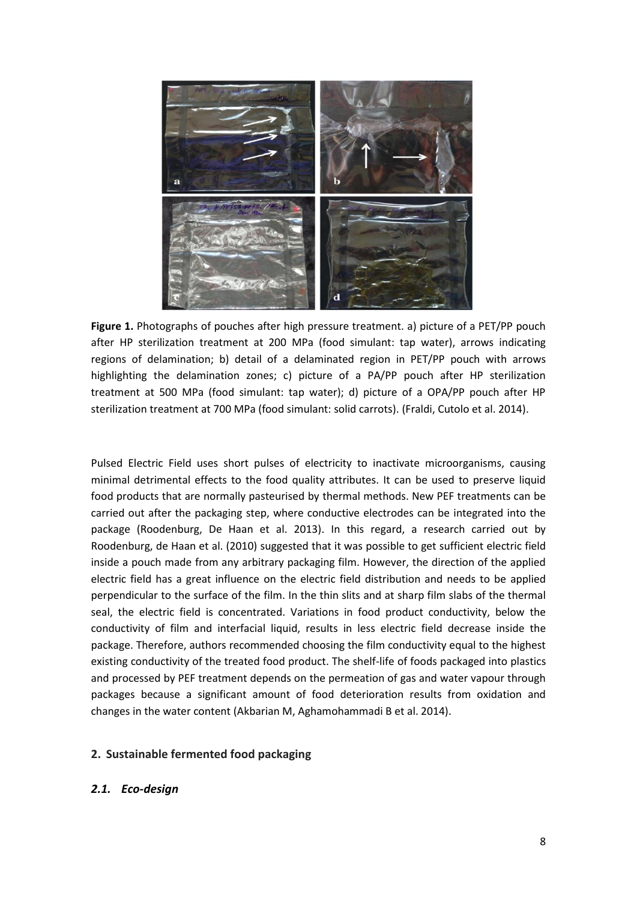

**Figure 1.** Photographs of pouches after high pressure treatment. a) picture of a PET/PP pouch after HP sterilization treatment at 200 MPa (food simulant: tap water), arrows indicating regions of delamination; b) detail of a delaminated region in PET/PP pouch with arrows highlighting the delamination zones; c) picture of a PA/PP pouch after HP sterilization treatment at 500 MPa (food simulant: tap water); d) picture of a OPA/PP pouch after HP sterilization treatment at 700 MPa (food simulant: solid carrots). (Fraldi, Cutolo et al. 2014).

Pulsed Electric Field uses short pulses of electricity to inactivate microorganisms, causing minimal detrimental effects to the food quality attributes. It can be used to preserve liquid food products that are normally pasteurised by thermal methods. New PEF treatments can be carried out after the packaging step, where conductive electrodes can be integrated into the package (Roodenburg, De Haan et al. 2013). In this regard, a research carried out by Roodenburg, de Haan et al. (2010) suggested that it was possible to get sufficient electric field inside a pouch made from any arbitrary packaging film. However, the direction of the applied electric field has a great influence on the electric field distribution and needs to be applied perpendicular to the surface of the film. In the thin slits and at sharp film slabs of the thermal seal, the electric field is concentrated. Variations in food product conductivity, below the conductivity of film and interfacial liquid, results in less electric field decrease inside the package. Therefore, authors recommended choosing the film conductivity equal to the highest existing conductivity of the treated food product. The shelf-life of foods packaged into plastics and processed by PEF treatment depends on the permeation of gas and water vapour through packages because a significant amount of food deterioration results from oxidation and changes in the water content (Akbarian M, Aghamohammadi B et al. 2014).

#### **2. Sustainable fermented food packaging**

#### *2.1. Eco-design*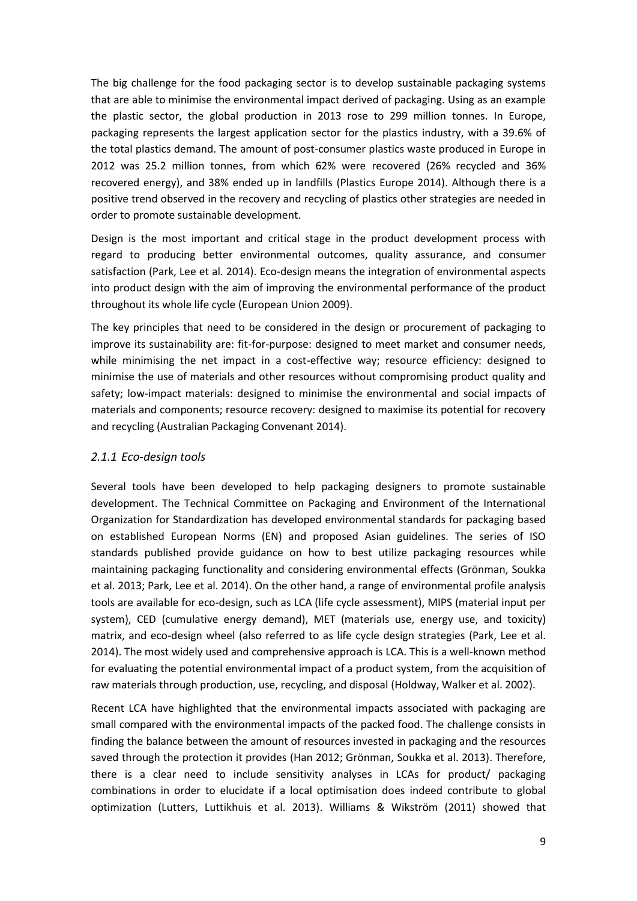The big challenge for the food packaging sector is to develop sustainable packaging systems that are able to minimise the environmental impact derived of packaging. Using as an example the plastic sector, the global production in 2013 rose to 299 million tonnes. In Europe, packaging represents the largest application sector for the plastics industry, with a 39.6% of the total plastics demand. The amount of post-consumer plastics waste produced in Europe in 2012 was 25.2 million tonnes, from which 62% were recovered (26% recycled and 36% recovered energy), and 38% ended up in landfills (Plastics Europe 2014). Although there is a positive trend observed in the recovery and recycling of plastics other strategies are needed in order to promote sustainable development.

Design is the most important and critical stage in the product development process with regard to producing better environmental outcomes, quality assurance, and consumer satisfaction (Park, Lee et al. 2014). Eco-design means the integration of environmental aspects into product design with the aim of improving the environmental performance of the product throughout its whole life cycle (European Union 2009).

The key principles that need to be considered in the design or procurement of packaging to improve its sustainability are: fit-for-purpose: designed to meet market and consumer needs, while minimising the net impact in a cost-effective way; resource efficiency: designed to minimise the use of materials and other resources without compromising product quality and safety; low-impact materials: designed to minimise the environmental and social impacts of materials and components; resource recovery: designed to maximise its potential for recovery and recycling (Australian Packaging Convenant 2014).

# *2.1.1 Eco-design tools*

Several tools have been developed to help packaging designers to promote sustainable development. The Technical Committee on Packaging and Environment of the International Organization for Standardization has developed environmental standards for packaging based on established European Norms (EN) and proposed Asian guidelines. The series of ISO standards published provide guidance on how to best utilize packaging resources while maintaining packaging functionality and considering environmental effects (Grönman, Soukka et al. 2013; Park, Lee et al. 2014). On the other hand, a range of environmental profile analysis tools are available for eco-design, such as LCA (life cycle assessment), MIPS (material input per system), CED (cumulative energy demand), MET (materials use, energy use, and toxicity) matrix, and eco-design wheel (also referred to as life cycle design strategies (Park, Lee et al. 2014). The most widely used and comprehensive approach is LCA. This is a well-known method for evaluating the potential environmental impact of a product system, from the acquisition of raw materials through production, use, recycling, and disposal (Holdway, Walker et al. 2002).

Recent LCA have highlighted that the environmental impacts associated with packaging are small compared with the environmental impacts of the packed food. The challenge consists in finding the balance between the amount of resources invested in packaging and the resources saved through the protection it provides (Han 2012; Grönman, Soukka et al. 2013). Therefore, there is a clear need to include sensitivity analyses in LCAs for product/ packaging combinations in order to elucidate if a local optimisation does indeed contribute to global optimization (Lutters, Luttikhuis et al. 2013). Williams & Wikström (2011) showed that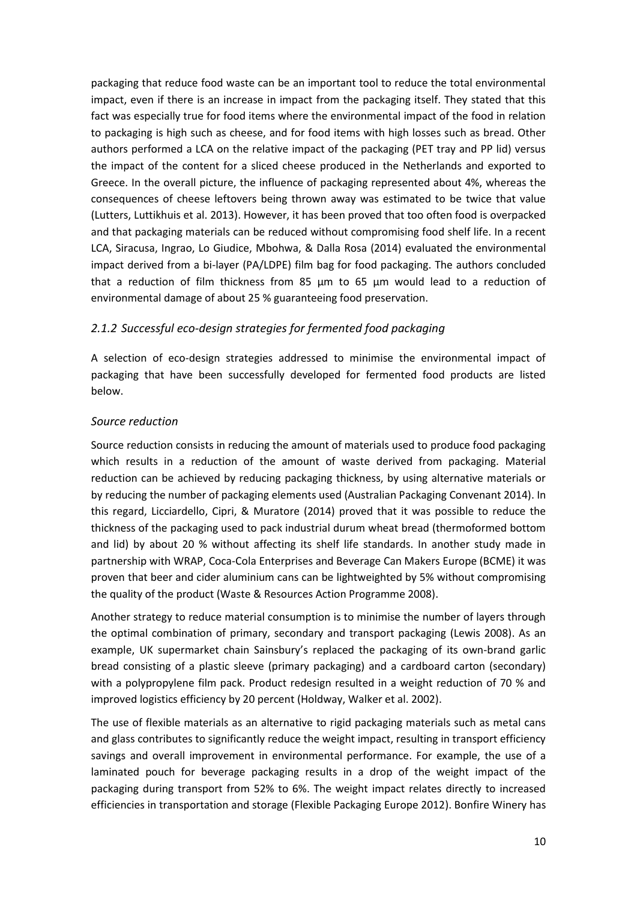packaging that reduce food waste can be an important tool to reduce the total environmental impact, even if there is an increase in impact from the packaging itself. They stated that this fact was especially true for food items where the environmental impact of the food in relation to packaging is high such as cheese, and for food items with high losses such as bread. Other authors performed a LCA on the relative impact of the packaging (PET tray and PP lid) versus the impact of the content for a sliced cheese produced in the Netherlands and exported to Greece. In the overall picture, the influence of packaging represented about 4%, whereas the consequences of cheese leftovers being thrown away was estimated to be twice that value (Lutters, Luttikhuis et al. 2013). However, it has been proved that too often food is overpacked and that packaging materials can be reduced without compromising food shelf life. In a recent LCA, Siracusa, Ingrao, Lo Giudice, Mbohwa, & Dalla Rosa (2014) evaluated the environmental impact derived from a bi-layer (PA/LDPE) film bag for food packaging. The authors concluded that a reduction of film thickness from 85 μm to 65 μm would lead to a reduction of environmental damage of about 25 % guaranteeing food preservation.

# *2.1.2 Successful eco-design strategies for fermented food packaging*

A selection of eco-design strategies addressed to minimise the environmental impact of packaging that have been successfully developed for fermented food products are listed below.

# *Source reduction*

Source reduction consists in reducing the amount of materials used to produce food packaging which results in a reduction of the amount of waste derived from packaging. Material reduction can be achieved by reducing packaging thickness, by using alternative materials or by reducing the number of packaging elements used (Australian Packaging Convenant 2014). In this regard, Licciardello, Cipri, & Muratore (2014) proved that it was possible to reduce the thickness of the packaging used to pack industrial durum wheat bread (thermoformed bottom and lid) by about 20 % without affecting its shelf life standards. In another study made in partnership with WRAP, Coca-Cola Enterprises and Beverage Can Makers Europe (BCME) it was proven that beer and cider aluminium cans can be lightweighted by 5% without compromising the quality of the product (Waste & Resources Action Programme 2008).

Another strategy to reduce material consumption is to minimise the number of layers through the optimal combination of primary, secondary and transport packaging (Lewis 2008). As an example, UK supermarket chain Sainsbury's replaced the packaging of its own-brand garlic bread consisting of a plastic sleeve (primary packaging) and a cardboard carton (secondary) with a polypropylene film pack. Product redesign resulted in a weight reduction of 70 % and improved logistics efficiency by 20 percent (Holdway, Walker et al. 2002).

The use of flexible materials as an alternative to rigid packaging materials such as metal cans and glass contributes to significantly reduce the weight impact, resulting in transport efficiency savings and overall improvement in environmental performance. For example, the use of a laminated pouch for beverage packaging results in a drop of the weight impact of the packaging during transport from 52% to 6%. The weight impact relates directly to increased efficiencies in transportation and storage (Flexible Packaging Europe 2012). Bonfire Winery has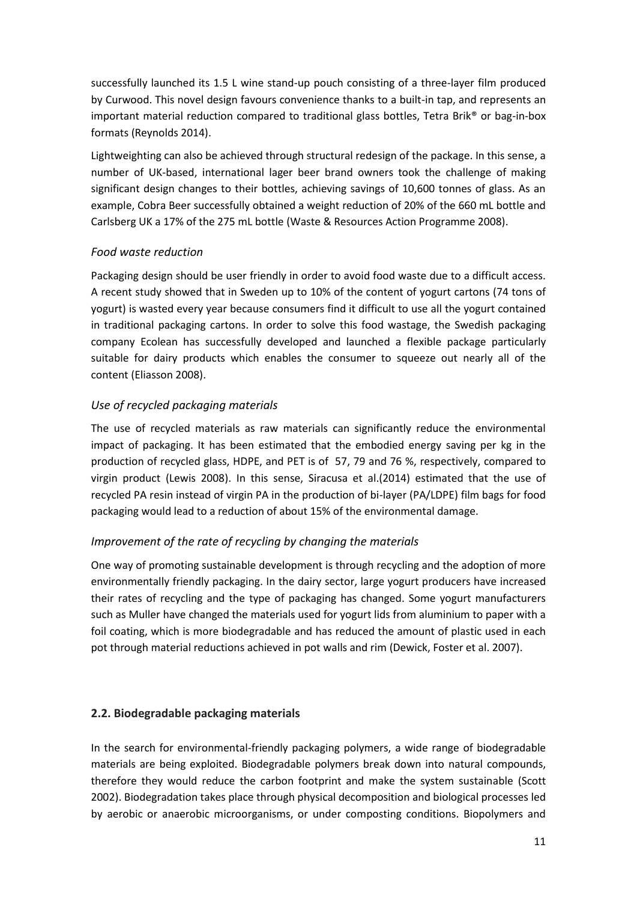successfully launched its 1.5 L wine stand-up pouch consisting of a three-layer film produced by Curwood. This novel design favours convenience thanks to a built-in tap, and represents an important material reduction compared to traditional glass bottles, Tetra Brik® or bag-in-box formats (Reynolds 2014).

Lightweighting can also be achieved through structural redesign of the package. In this sense, a number of UK-based, international lager beer brand owners took the challenge of making significant design changes to their bottles, achieving savings of 10,600 tonnes of glass. As an example, Cobra Beer successfully obtained a weight reduction of 20% of the 660 mL bottle and Carlsberg UK a 17% of the 275 mL bottle (Waste & Resources Action Programme 2008).

# *Food waste reduction*

Packaging design should be user friendly in order to avoid food waste due to a difficult access. A recent study showed that in Sweden up to 10% of the content of yogurt cartons (74 tons of yogurt) is wasted every year because consumers find it difficult to use all the yogurt contained in traditional packaging cartons. In order to solve this food wastage, the Swedish packaging company Ecolean has successfully developed and launched a flexible package particularly suitable for dairy products which enables the consumer to squeeze out nearly all of the content (Eliasson 2008).

# *Use of recycled packaging materials*

The use of recycled materials as raw materials can significantly reduce the environmental impact of packaging. It has been estimated that the embodied energy saving per kg in the production of recycled glass, HDPE, and PET is of 57, 79 and 76 %, respectively, compared to virgin product (Lewis 2008). In this sense, Siracusa et al.(2014) estimated that the use of recycled PA resin instead of virgin PA in the production of bi-layer (PA/LDPE) film bags for food packaging would lead to a reduction of about 15% of the environmental damage.

# *Improvement of the rate of recycling by changing the materials*

One way of promoting sustainable development is through recycling and the adoption of more environmentally friendly packaging. In the dairy sector, large yogurt producers have increased their rates of recycling and the type of packaging has changed. Some yogurt manufacturers such as Muller have changed the materials used for yogurt lids from aluminium to paper with a foil coating, which is more biodegradable and has reduced the amount of plastic used in each pot through material reductions achieved in pot walls and rim (Dewick, Foster et al. 2007).

# **2.2. Biodegradable packaging materials**

In the search for environmental-friendly packaging polymers, a wide range of biodegradable materials are being exploited. Biodegradable polymers break down into natural compounds, therefore they would reduce the carbon footprint and make the system sustainable (Scott 2002). Biodegradation takes place through physical decomposition and biological processes led by aerobic or anaerobic microorganisms, or under composting conditions. Biopolymers and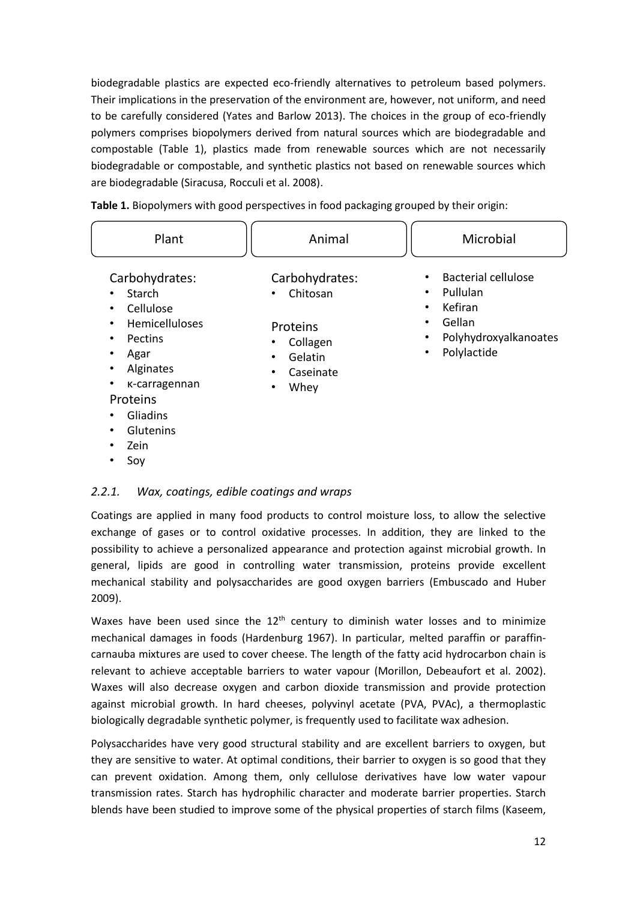biodegradable plastics are expected eco-friendly alternatives to petroleum based polymers. Their implications in the preservation of the environment are, however, not uniform, and need to be carefully considered (Yates and Barlow 2013). The choices in the group of eco-friendly polymers comprises biopolymers derived from natural sources which are biodegradable and compostable (Table 1), plastics made from renewable sources which are not necessarily biodegradable or compostable, and synthetic plastics not based on renewable sources which are biodegradable (Siracusa, Rocculi et al. 2008).

| Plant                                                                                                                                                                                                              | Animal                                                                                                                      | Microbial                                                                                                                                                                 |
|--------------------------------------------------------------------------------------------------------------------------------------------------------------------------------------------------------------------|-----------------------------------------------------------------------------------------------------------------------------|---------------------------------------------------------------------------------------------------------------------------------------------------------------------------|
| Carbohydrates:<br>Starch<br>$\bullet$<br>Cellulose<br>٠<br>Hemicelluloses<br>$\bullet$<br>Pectins<br>٠<br>Agar<br>٠<br>Alginates<br>٠<br>K-carragennan<br>$\bullet$<br>Proteins<br>Gliadins<br>٠<br>Glutenins<br>٠ | Carbohydrates:<br>Chitosan<br>$\bullet$<br>Proteins<br>Collagen<br>٠<br>Gelatin<br>٠<br>Caseinate<br>٠<br>Whey<br>$\bullet$ | <b>Bacterial cellulose</b><br>$\bullet$<br>Pullulan<br>$\bullet$<br>Kefiran<br>$\bullet$<br>Gellan<br>$\bullet$<br>Polyhydroxyalkanoates<br>٠<br>Polylactide<br>$\bullet$ |

**Table 1.** Biopolymers with good perspectives in food packaging grouped by their origin:

#### •Soy

•

Zein

# *2.2.1. Wax, coatings, edible coatings and wraps*

Coatings are applied in many food products to control moisture loss, to allow the selective exchange of gases or to control oxidative processes. In addition, they are linked to the possibility to achieve a personalized appearance and protection against microbial growth. In general, lipids are good in controlling water transmission, proteins provide excellent mechanical stability and polysaccharides are good oxygen barriers (Embuscado and Huber 2009).

Waxes have been used since the  $12<sup>th</sup>$  century to diminish water losses and to minimize mechanical damages in foods (Hardenburg 1967). In particular, melted paraffin or paraffincarnauba mixtures are used to cover cheese. The length of the fatty acid hydrocarbon chain is relevant to achieve acceptable barriers to water vapour (Morillon, Debeaufort et al. 2002). Waxes will also decrease oxygen and carbon dioxide transmission and provide protection against microbial growth. In hard cheeses, polyvinyl acetate (PVA, PVAc), a thermoplastic biologically degradable synthetic polymer, is frequently used to facilitate wax adhesion.

Polysaccharides have very good structural stability and are excellent barriers to oxygen, but they are sensitive to water. At optimal conditions, their barrier to oxygen is so good that they can prevent oxidation. Among them, only cellulose derivatives have low water vapour transmission rates. Starch has hydrophilic character and moderate barrier properties. Starch blends have been studied to improve some of the physical properties of starch films (Kaseem,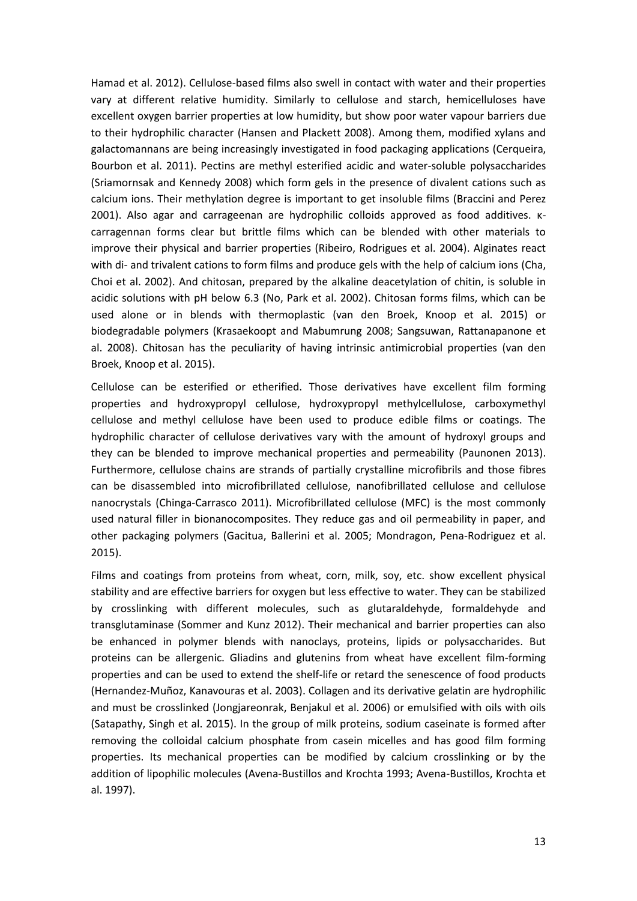Hamad et al. 2012). Cellulose-based films also swell in contact with water and their properties vary at different relative humidity. Similarly to cellulose and starch, hemicelluloses have excellent oxygen barrier properties at low humidity, but show poor water vapour barriers due to their hydrophilic character (Hansen and Plackett 2008). Among them, modified xylans and galactomannans are being increasingly investigated in food packaging applications (Cerqueira, Bourbon et al. 2011). Pectins are methyl esterified acidic and water-soluble polysaccharides (Sriamornsak and Kennedy 2008) which form gels in the presence of divalent cations such as calcium ions. Their methylation degree is important to get insoluble films (Braccini and Perez 2001). Also agar and carrageenan are hydrophilic colloids approved as food additives. κcarragennan forms clear but brittle films which can be blended with other materials to improve their physical and barrier properties (Ribeiro, Rodrigues et al. 2004). Alginates react with di- and trivalent cations to form films and produce gels with the help of calcium ions (Cha, Choi et al. 2002). And chitosan, prepared by the alkaline deacetylation of chitin, is soluble in acidic solutions with pH below 6.3 (No, Park et al. 2002). Chitosan forms films, which can be used alone or in blends with thermoplastic (van den Broek, Knoop et al. 2015) or biodegradable polymers (Krasaekoopt and Mabumrung 2008; Sangsuwan, Rattanapanone et al. 2008). Chitosan has the peculiarity of having intrinsic antimicrobial properties (van den Broek, Knoop et al. 2015).

Cellulose can be esterified or etherified. Those derivatives have excellent film forming properties and hydroxypropyl cellulose, hydroxypropyl methylcellulose, carboxymethyl cellulose and methyl cellulose have been used to produce edible films or coatings. The hydrophilic character of cellulose derivatives vary with the amount of hydroxyl groups and they can be blended to improve mechanical properties and permeability (Paunonen 2013). Furthermore, cellulose chains are strands of partially crystalline microfibrils and those fibres can be disassembled into microfibrillated cellulose, nanofibrillated cellulose and cellulose nanocrystals (Chinga-Carrasco 2011). Microfibrillated cellulose (MFC) is the most commonly used natural filler in bionanocomposites. They reduce gas and oil permeability in paper, and other packaging polymers (Gacitua, Ballerini et al. 2005; Mondragon, Pena-Rodriguez et al. 2015).

Films and coatings from proteins from wheat, corn, milk, soy, etc. show excellent physical stability and are effective barriers for oxygen but less effective to water. They can be stabilized by crosslinking with different molecules, such as glutaraldehyde, formaldehyde and transglutaminase (Sommer and Kunz 2012). Their mechanical and barrier properties can also be enhanced in polymer blends with nanoclays, proteins, lipids or polysaccharides. But proteins can be allergenic. Gliadins and glutenins from wheat have excellent film-forming properties and can be used to extend the shelf-life or retard the senescence of food products (Hernandez-Muñoz, Kanavouras et al. 2003). Collagen and its derivative gelatin are hydrophilic and must be crosslinked (Jongjareonrak, Benjakul et al. 2006) or emulsified with oils with oils (Satapathy, Singh et al. 2015). In the group of milk proteins, sodium caseinate is formed after removing the colloidal calcium phosphate from casein micelles and has good film forming properties. Its mechanical properties can be modified by calcium crosslinking or by the addition of lipophilic molecules (Avena-Bustillos and Krochta 1993; Avena-Bustillos, Krochta et al. 1997).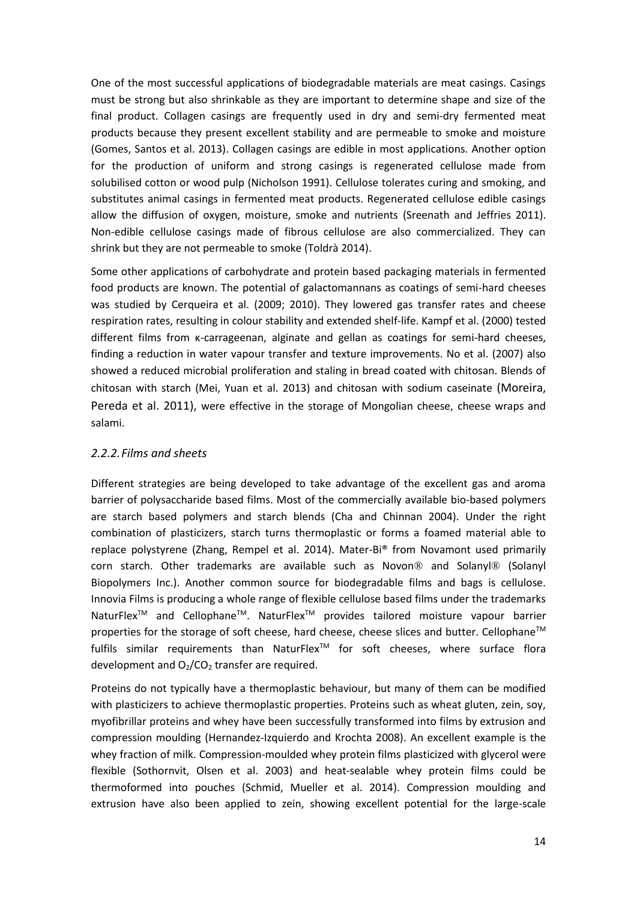One of the most successful applications of biodegradable materials are meat casings. Casings must be strong but also shrinkable as they are important to determine shape and size of the final product. Collagen casings are frequently used in dry and semi-dry fermented meat products because they present excellent stability and are permeable to smoke and moisture (Gomes, Santos et al. 2013). Collagen casings are edible in most applications. Another option for the production of uniform and strong casings is regenerated cellulose made from solubilised cotton or wood pulp (Nicholson 1991). Cellulose tolerates curing and smoking, and substitutes animal casings in fermented meat products. Regenerated cellulose edible casings allow the diffusion of oxygen, moisture, smoke and nutrients (Sreenath and Jeffries 2011). Non-edible cellulose casings made of fibrous cellulose are also commercialized. They can shrink but they are not permeable to smoke (Toldrà 2014).

Some other applications of carbohydrate and protein based packaging materials in fermented food products are known. The potential of galactomannans as coatings of semi-hard cheeses was studied by Cerqueira et al. (2009; 2010). They lowered gas transfer rates and cheese respiration rates, resulting in colour stability and extended shelf-life. Kampf et al. (2000) tested different films from κ-carrageenan, alginate and gellan as coatings for semi-hard cheeses, finding a reduction in water vapour transfer and texture improvements. No et al. (2007) also showed a reduced microbial proliferation and staling in bread coated with chitosan. Blends of chitosan with starch (Mei, Yuan et al. 2013) and chitosan with sodium caseinate (Moreira, Pereda et al. 2011), were effective in the storage of Mongolian cheese, cheese wraps and salami.

# *2.2.2.Films and sheets*

Different strategies are being developed to take advantage of the excellent gas and aroma barrier of polysaccharide based films. Most of the commercially available bio-based polymers are starch based polymers and starch blends (Cha and Chinnan 2004). Under the right combination of plasticizers, starch turns thermoplastic or forms a foamed material able to replace polystyrene (Zhang, Rempel et al. 2014). Mater-Bi® from Novamont used primarily corn starch. Other trademarks are available such as Novon® and Solanyl® (Solanyl Biopolymers Inc.). Another common source for biodegradable films and bags is cellulose. Innovia Films is producing a whole range of flexible cellulose based films under the trademarks NaturFlex<sup>™</sup> and Cellophane<sup>™</sup>. NaturFlex<sup>™</sup> provides tailored moisture vapour barrier properties for the storage of soft cheese, hard cheese, cheese slices and butter. Cellophane<sup>™</sup> fulfils similar requirements than NaturFlexTM for soft cheeses, where surface flora development and  $O<sub>2</sub>/CO<sub>2</sub>$  transfer are required.

Proteins do not typically have a thermoplastic behaviour, but many of them can be modified with plasticizers to achieve thermoplastic properties. Proteins such as wheat gluten, zein, soy, myofibrillar proteins and whey have been successfully transformed into films by extrusion and compression moulding (Hernandez-Izquierdo and Krochta 2008). An excellent example is the whey fraction of milk. Compression-moulded whey protein films plasticized with glycerol were flexible (Sothornvit, Olsen et al. 2003) and heat-sealable whey protein films could be thermoformed into pouches (Schmid, Mueller et al. 2014). Compression moulding and extrusion have also been applied to zein, showing excellent potential for the large-scale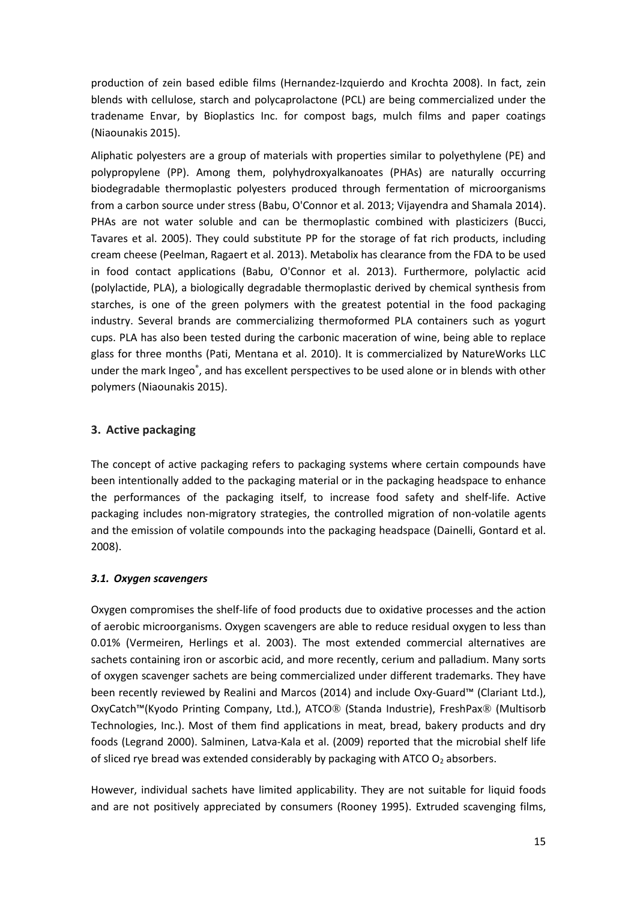production of zein based edible films (Hernandez-Izquierdo and Krochta 2008). In fact, zein blends with cellulose, starch and polycaprolactone (PCL) are being commercialized under the tradename Envar, by Bioplastics Inc. for compost bags, mulch films and paper coatings (Niaounakis 2015).

Aliphatic polyesters are a group of materials with properties similar to polyethylene (PE) and polypropylene (PP). Among them, polyhydroxyalkanoates (PHAs) are naturally occurring biodegradable thermoplastic polyesters produced through fermentation of microorganisms from a carbon source under stress (Babu, O'Connor et al. 2013; Vijayendra and Shamala 2014). PHAs are not water soluble and can be thermoplastic combined with plasticizers (Bucci, Tavares et al. 2005). They could substitute PP for the storage of fat rich products, including cream cheese (Peelman, Ragaert et al. 2013). Metabolix has clearance from the FDA to be used in food contact applications (Babu, O'Connor et al. 2013). Furthermore, polylactic acid (polylactide, PLA), a biologically degradable thermoplastic derived by chemical synthesis from starches, is one of the green polymers with the greatest potential in the food packaging industry. Several brands are commercializing thermoformed PLA containers such as yogurt cups. PLA has also been tested during the carbonic maceration of wine, being able to replace glass for three months (Pati, Mentana et al. 2010). It is commercialized by NatureWorks LLC under the mark Ingeo®, and has excellent perspectives to be used alone or in blends with other polymers (Niaounakis 2015).

# **3. Active packaging**

The concept of active packaging refers to packaging systems where certain compounds have been intentionally added to the packaging material or in the packaging headspace to enhance the performances of the packaging itself, to increase food safety and shelf-life. Active packaging includes non-migratory strategies, the controlled migration of non-volatile agents and the emission of volatile compounds into the packaging headspace (Dainelli, Gontard et al. 2008).

# *3.1. Oxygen scavengers*

Oxygen compromises the shelf-life of food products due to oxidative processes and the action of aerobic microorganisms. Oxygen scavengers are able to reduce residual oxygen to less than 0.01% (Vermeiren, Herlings et al. 2003). The most extended commercial alternatives are sachets containing iron or ascorbic acid, and more recently, cerium and palladium. Many sorts of oxygen scavenger sachets are being commercialized under different trademarks. They have been recently reviewed by Realini and Marcos (2014) and include Oxy-Guard™ (Clariant Ltd.), OxyCatch™(Kyodo Printing Company, Ltd.), ATCO® (Standa Industrie), FreshPax® (Multisorb Technologies, Inc.). Most of them find applications in meat, bread, bakery products and dry foods (Legrand 2000). Salminen, Latva-Kala et al. (2009) reported that the microbial shelf life of sliced rye bread was extended considerably by packaging with ATCO  $O<sub>2</sub>$  absorbers.

However, individual sachets have limited applicability. They are not suitable for liquid foods and are not positively appreciated by consumers (Rooney 1995). Extruded scavenging films,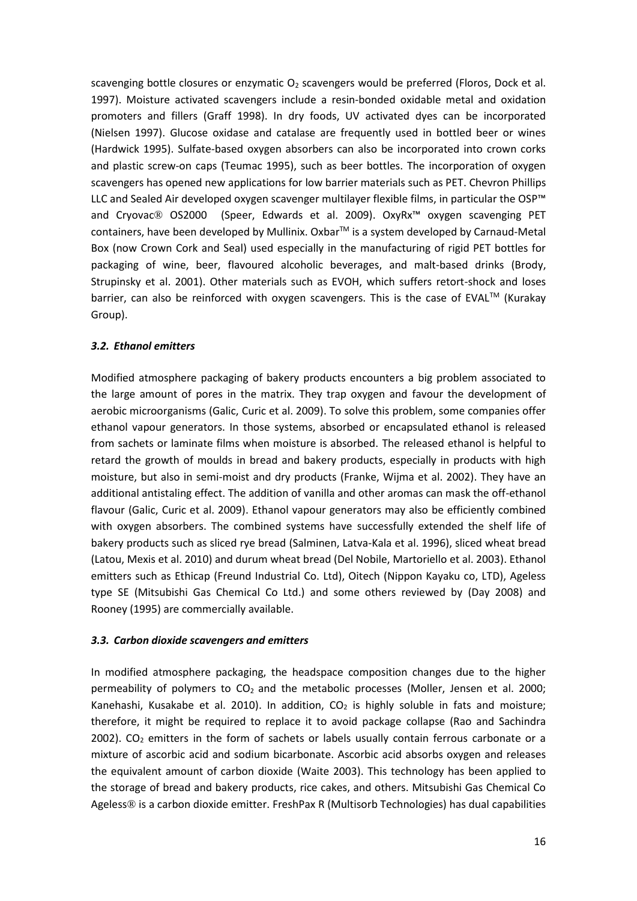scavenging bottle closures or enzymatic  $O_2$  scavengers would be preferred (Floros, Dock et al. 1997). Moisture activated scavengers include a resin-bonded oxidable metal and oxidation promoters and fillers (Graff 1998). In dry foods, UV activated dyes can be incorporated (Nielsen 1997). Glucose oxidase and catalase are frequently used in bottled beer or wines (Hardwick 1995). Sulfate-based oxygen absorbers can also be incorporated into crown corks and plastic screw-on caps (Teumac 1995), such as beer bottles. The incorporation of oxygen scavengers has opened new applications for low barrier materials such as PET. Chevron Phillips LLC and Sealed Air developed oxygen scavenger multilayer flexible films, in particular the OSP™ and Cryovac® OS2000 (Speer, Edwards et al. 2009). OxyRx™ oxygen scavenging PET containers, have been developed by Mullinix. Oxbar™ is a system developed by Carnaud-Metal Box (now Crown Cork and Seal) used especially in the manufacturing of rigid PET bottles for packaging of wine, beer, flavoured alcoholic beverages, and malt-based drinks (Brody, Strupinsky et al. 2001). Other materials such as EVOH, which suffers retort-shock and loses barrier, can also be reinforced with oxygen scavengers. This is the case of EVAL™ (Kurakay Group).

#### *3.2. Ethanol emitters*

Modified atmosphere packaging of bakery products encounters a big problem associated to the large amount of pores in the matrix. They trap oxygen and favour the development of aerobic microorganisms (Galic, Curic et al. 2009). To solve this problem, some companies offer ethanol vapour generators. In those systems, absorbed or encapsulated ethanol is released from sachets or laminate films when moisture is absorbed. The released ethanol is helpful to retard the growth of moulds in bread and bakery products, especially in products with high moisture, but also in semi-moist and dry products (Franke, Wijma et al. 2002). They have an additional antistaling effect. The addition of vanilla and other aromas can mask the off-ethanol flavour (Galic, Curic et al. 2009). Ethanol vapour generators may also be efficiently combined with oxygen absorbers. The combined systems have successfully extended the shelf life of bakery products such as sliced rye bread (Salminen, Latva-Kala et al. 1996), sliced wheat bread (Latou, Mexis et al. 2010) and durum wheat bread (Del Nobile, Martoriello et al. 2003). Ethanol emitters such as Ethicap (Freund Industrial Co. Ltd), Oitech (Nippon Kayaku co, LTD), Ageless type SE (Mitsubishi Gas Chemical Co Ltd.) and some others reviewed by (Day 2008) and Rooney (1995) are commercially available.

#### *3.3. Carbon dioxide scavengers and emitters*

In modified atmosphere packaging, the headspace composition changes due to the higher permeability of polymers to  $CO<sub>2</sub>$  and the metabolic processes (Moller, Jensen et al. 2000; Kanehashi, Kusakabe et al. 2010). In addition,  $CO<sub>2</sub>$  is highly soluble in fats and moisture; therefore, it might be required to replace it to avoid package collapse (Rao and Sachindra 2002).  $CO<sub>2</sub>$  emitters in the form of sachets or labels usually contain ferrous carbonate or a mixture of ascorbic acid and sodium bicarbonate. Ascorbic acid absorbs oxygen and releases the equivalent amount of carbon dioxide (Waite 2003). This technology has been applied to the storage of bread and bakery products, rice cakes, and others. Mitsubishi Gas Chemical Co Ageless® is a carbon dioxide emitter. FreshPax R (Multisorb Technologies) has dual capabilities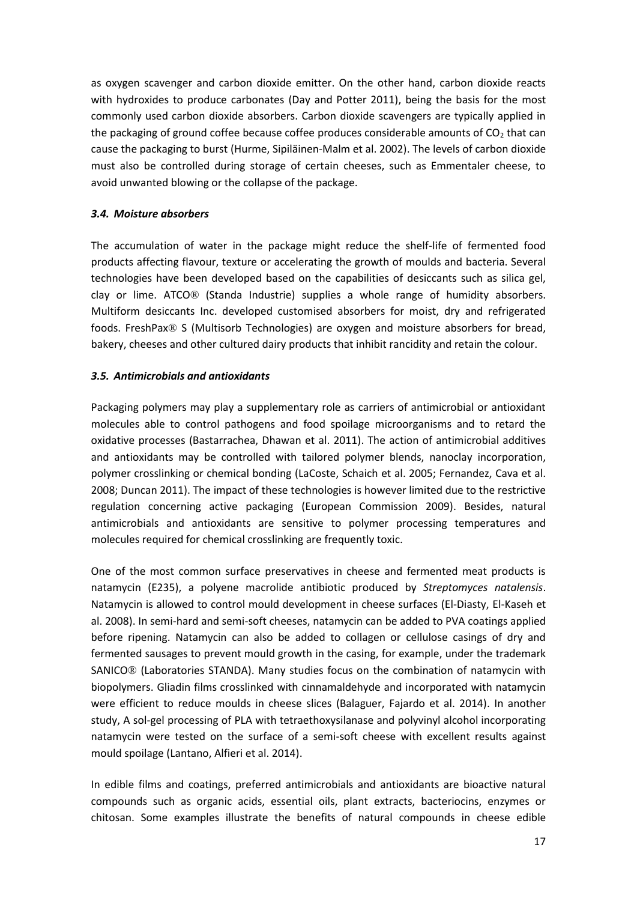as oxygen scavenger and carbon dioxide emitter. On the other hand, carbon dioxide reacts with hydroxides to produce carbonates (Day and Potter 2011), being the basis for the most commonly used carbon dioxide absorbers. Carbon dioxide scavengers are typically applied in the packaging of ground coffee because coffee produces considerable amounts of  $CO<sub>2</sub>$  that can cause the packaging to burst (Hurme, Sipiläinen-Malm et al. 2002). The levels of carbon dioxide must also be controlled during storage of certain cheeses, such as Emmentaler cheese, to avoid unwanted blowing or the collapse of the package.

# *3.4. Moisture absorbers*

The accumulation of water in the package might reduce the shelf-life of fermented food products affecting flavour, texture or accelerating the growth of moulds and bacteria. Several technologies have been developed based on the capabilities of desiccants such as silica gel, clay or lime. ATCO® (Standa Industrie) supplies a whole range of humidity absorbers. Multiform desiccants Inc. developed customised absorbers for moist, dry and refrigerated foods. FreshPax® S (Multisorb Technologies) are oxygen and moisture absorbers for bread, bakery, cheeses and other cultured dairy products that inhibit rancidity and retain the colour.

# *3.5. Antimicrobials and antioxidants*

Packaging polymers may play a supplementary role as carriers of antimicrobial or antioxidant molecules able to control pathogens and food spoilage microorganisms and to retard the oxidative processes (Bastarrachea, Dhawan et al. 2011). The action of antimicrobial additives and antioxidants may be controlled with tailored polymer blends, nanoclay incorporation, polymer crosslinking or chemical bonding (LaCoste, Schaich et al. 2005; Fernandez, Cava et al. 2008; Duncan 2011). The impact of these technologies is however limited due to the restrictive regulation concerning active packaging (European Commission 2009). Besides, natural antimicrobials and antioxidants are sensitive to polymer processing temperatures and molecules required for chemical crosslinking are frequently toxic.

One of the most common surface preservatives in cheese and fermented meat products is natamycin (E235), a polyene macrolide antibiotic produced by *Streptomyces natalensis*. Natamycin is allowed to control mould development in cheese surfaces (El-Diasty, El-Kaseh et al. 2008). In semi-hard and semi-soft cheeses, natamycin can be added to PVA coatings applied before ripening. Natamycin can also be added to collagen or cellulose casings of dry and fermented sausages to prevent mould growth in the casing, for example, under the trademark SANICO® (Laboratories STANDA). Many studies focus on the combination of natamycin with biopolymers. Gliadin films crosslinked with cinnamaldehyde and incorporated with natamycin were efficient to reduce moulds in cheese slices (Balaguer, Fajardo et al. 2014). In another study, A sol-gel processing of PLA with tetraethoxysilanase and polyvinyl alcohol incorporating natamycin were tested on the surface of a semi-soft cheese with excellent results against mould spoilage (Lantano, Alfieri et al. 2014).

In edible films and coatings, preferred antimicrobials and antioxidants are bioactive natural compounds such as organic acids, essential oils, plant extracts, bacteriocins, enzymes or chitosan. Some examples illustrate the benefits of natural compounds in cheese edible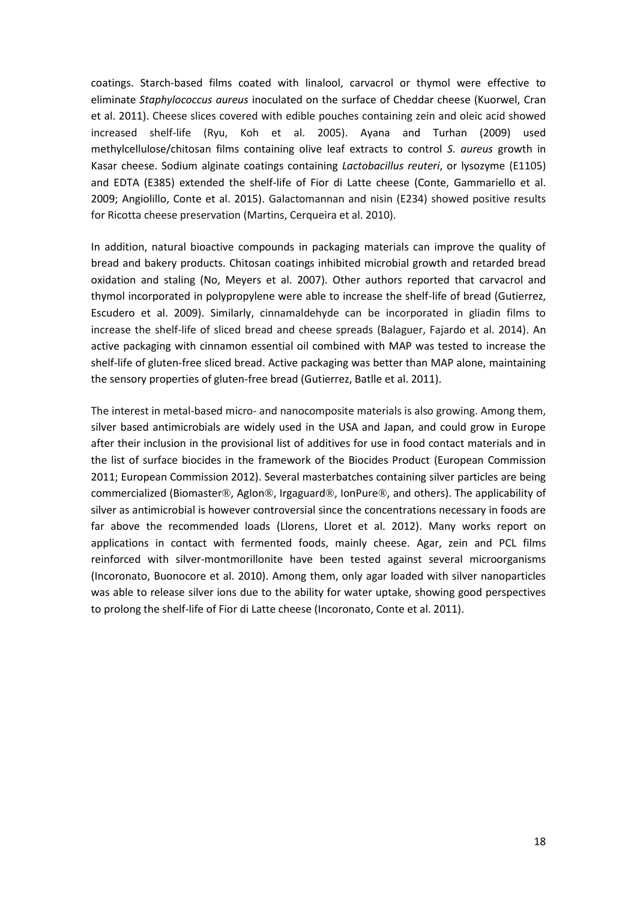coatings. Starch-based films coated with linalool, carvacrol or thymol were effective to eliminate *Staphylococcus aureus* inoculated on the surface of Cheddar cheese (Kuorwel, Cran et al. 2011). Cheese slices covered with edible pouches containing zein and oleic acid showed increased shelf-life (Ryu, Koh et al. 2005). Ayana and Turhan (2009) used methylcellulose/chitosan films containing olive leaf extracts to control *S. aureus* growth in Kasar cheese. Sodium alginate coatings containing *Lactobacillus reuteri*, or lysozyme (E1105) and EDTA (E385) extended the shelf-life of Fior di Latte cheese (Conte, Gammariello et al. 2009; Angiolillo, Conte et al. 2015). Galactomannan and nisin (E234) showed positive results for Ricotta cheese preservation (Martins, Cerqueira et al. 2010).

In addition, natural bioactive compounds in packaging materials can improve the quality of bread and bakery products. Chitosan coatings inhibited microbial growth and retarded bread oxidation and staling (No, Meyers et al. 2007). Other authors reported that carvacrol and thymol incorporated in polypropylene were able to increase the shelf-life of bread (Gutierrez, Escudero et al. 2009). Similarly, cinnamaldehyde can be incorporated in gliadin films to increase the shelf-life of sliced bread and cheese spreads (Balaguer, Fajardo et al. 2014). An active packaging with cinnamon essential oil combined with MAP was tested to increase the shelf-life of gluten-free sliced bread. Active packaging was better than MAP alone, maintaining the sensory properties of gluten-free bread (Gutierrez, Batlle et al. 2011).

The interest in metal-based micro- and nanocomposite materials is also growing. Among them, silver based antimicrobials are widely used in the USA and Japan, and could grow in Europe after their inclusion in the provisional list of additives for use in food contact materials and in the list of surface biocides in the framework of the Biocides Product (European Commission 2011; European Commission 2012). Several masterbatches containing silver particles are being commercialized (Biomaster®, AgIon®, Irgaguard®, IonPure®, and others). The applicability of silver as antimicrobial is however controversial since the concentrations necessary in foods are far above the recommended loads (Llorens, Lloret et al. 2012). Many works report on applications in contact with fermented foods, mainly cheese. Agar, zein and PCL films reinforced with silver-montmorillonite have been tested against several microorganisms (Incoronato, Buonocore et al. 2010). Among them, only agar loaded with silver nanoparticles was able to release silver ions due to the ability for water uptake, showing good perspectives to prolong the shelf-life of Fior di Latte cheese (Incoronato, Conte et al. 2011).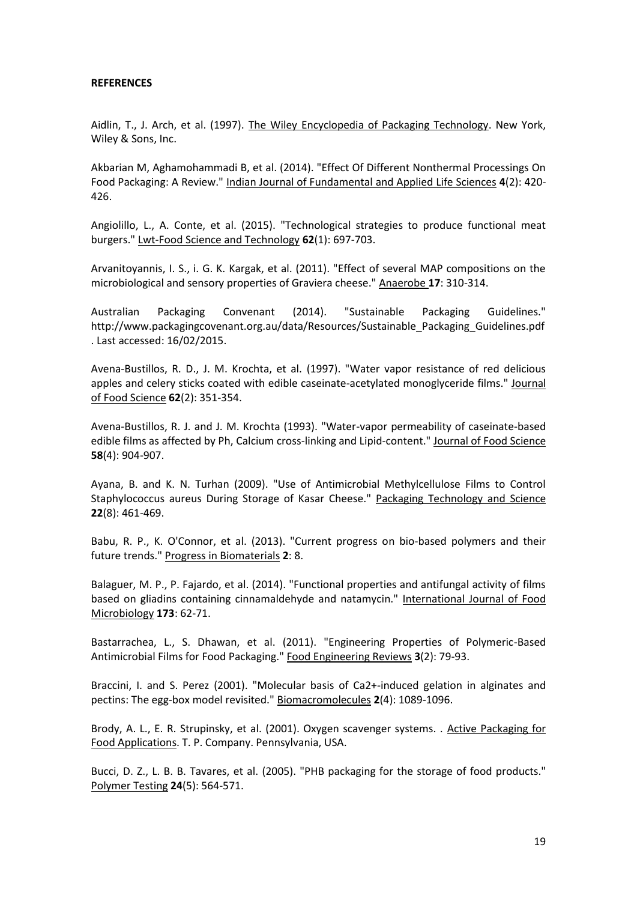#### **REFERENCES**

Aidlin, T., J. Arch, et al. (1997). The Wiley Encyclopedia of Packaging Technology. New York, Wiley & Sons, Inc.

Akbarian M, Aghamohammadi B, et al. (2014). "Effect Of Different Nonthermal Processings On Food Packaging: A Review." Indian Journal of Fundamental and Applied Life Sciences **4**(2): 420- 426.

Angiolillo, L., A. Conte, et al. (2015). "Technological strategies to produce functional meat burgers." Lwt-Food Science and Technology **62**(1): 697-703.

Arvanitoyannis, I. S., i. G. K. Kargak, et al. (2011). "Effect of several MAP compositions on the microbiological and sensory properties of Graviera cheese." Anaerobe **17**: 310-314.

Australian Packaging Convenant (2014). "Sustainable Packaging Guidelines." http://www.packagingcovenant.org.au/data/Resources/Sustainable\_Packaging\_Guidelines.pdf . Last accessed: 16/02/2015.

Avena-Bustillos, R. D., J. M. Krochta, et al. (1997). "Water vapor resistance of red delicious apples and celery sticks coated with edible caseinate-acetylated monoglyceride films." Journal of Food Science **62**(2): 351-354.

Avena-Bustillos, R. J. and J. M. Krochta (1993). "Water-vapor permeability of caseinate-based edible films as affected by Ph, Calcium cross-linking and Lipid-content." Journal of Food Science **58**(4): 904-907.

Ayana, B. and K. N. Turhan (2009). "Use of Antimicrobial Methylcellulose Films to Control Staphylococcus aureus During Storage of Kasar Cheese." Packaging Technology and Science **22**(8): 461-469.

Babu, R. P., K. O'Connor, et al. (2013). "Current progress on bio-based polymers and their future trends." Progress in Biomaterials **2**: 8.

Balaguer, M. P., P. Fajardo, et al. (2014). "Functional properties and antifungal activity of films based on gliadins containing cinnamaldehyde and natamycin." International Journal of Food Microbiology **173**: 62-71.

Bastarrachea, L., S. Dhawan, et al. (2011). "Engineering Properties of Polymeric-Based Antimicrobial Films for Food Packaging." Food Engineering Reviews **3**(2): 79-93.

Braccini, I. and S. Perez (2001). "Molecular basis of Ca2+-induced gelation in alginates and pectins: The egg-box model revisited." Biomacromolecules **2**(4): 1089-1096.

Brody, A. L., E. R. Strupinsky, et al. (2001). Oxygen scavenger systems. . Active Packaging for Food Applications. T. P. Company. Pennsylvania, USA.

Bucci, D. Z., L. B. B. Tavares, et al. (2005). "PHB packaging for the storage of food products." Polymer Testing **24**(5): 564-571.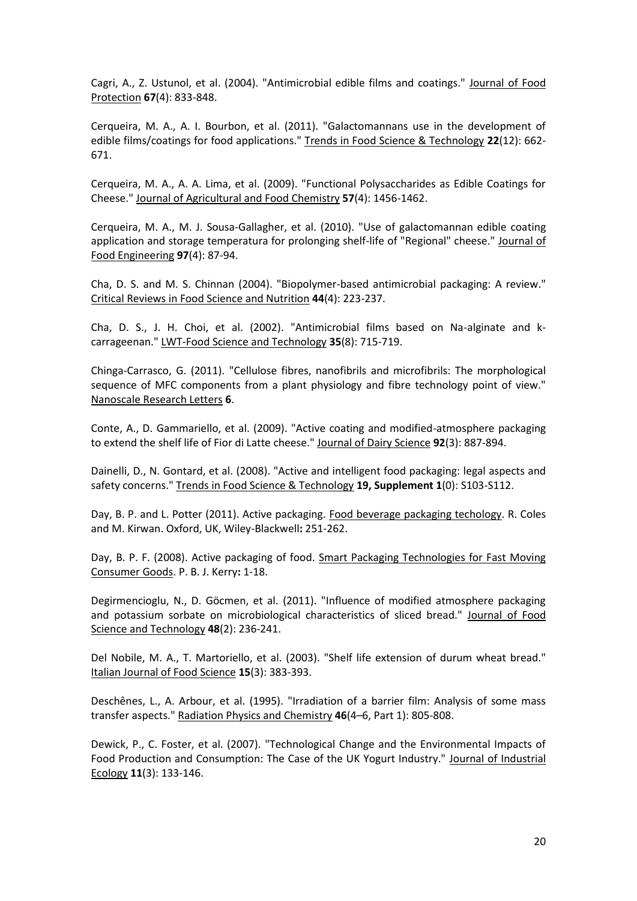Cagri, A., Z. Ustunol, et al. (2004). "Antimicrobial edible films and coatings." Journal of Food Protection **67**(4): 833-848.

Cerqueira, M. A., A. I. Bourbon, et al. (2011). "Galactomannans use in the development of edible films/coatings for food applications." Trends in Food Science & Technology **22**(12): 662- 671.

Cerqueira, M. A., A. A. Lima, et al. (2009). "Functional Polysaccharides as Edible Coatings for Cheese." Journal of Agricultural and Food Chemistry **57**(4): 1456-1462.

Cerqueira, M. A., M. J. Sousa-Gallagher, et al. (2010). "Use of galactomannan edible coating application and storage temperatura for prolonging shelf-life of "Regional" cheese." Journal of Food Engineering **97**(4): 87-94.

Cha, D. S. and M. S. Chinnan (2004). "Biopolymer-based antimicrobial packaging: A review." Critical Reviews in Food Science and Nutrition **44**(4): 223-237.

Cha, D. S., J. H. Choi, et al. (2002). "Antimicrobial films based on Na-alginate and kcarrageenan." LWT-Food Science and Technology **35**(8): 715-719.

Chinga-Carrasco, G. (2011). "Cellulose fibres, nanofibrils and microfibrils: The morphological sequence of MFC components from a plant physiology and fibre technology point of view." Nanoscale Research Letters **6**.

Conte, A., D. Gammariello, et al. (2009). "Active coating and modified-atmosphere packaging to extend the shelf life of Fior di Latte cheese." Journal of Dairy Science **92**(3): 887-894.

Dainelli, D., N. Gontard, et al. (2008). "Active and intelligent food packaging: legal aspects and safety concerns." Trends in Food Science & Technology **19, Supplement 1**(0): S103-S112.

Day, B. P. and L. Potter (2011). Active packaging. Food beverage packaging techology. R. Coles and M. Kirwan. Oxford, UK, Wiley-Blackwell**:** 251-262.

Day, B. P. F. (2008). Active packaging of food. Smart Packaging Technologies for Fast Moving Consumer Goods. P. B. J. Kerry**:** 1-18.

Degirmencioglu, N., D. Göcmen, et al. (2011). "Influence of modified atmosphere packaging and potassium sorbate on microbiological characteristics of sliced bread." Journal of Food Science and Technology **48**(2): 236-241.

Del Nobile, M. A., T. Martoriello, et al. (2003). "Shelf life extension of durum wheat bread." Italian Journal of Food Science **15**(3): 383-393.

Deschênes, L., A. Arbour, et al. (1995). "Irradiation of a barrier film: Analysis of some mass transfer aspects." Radiation Physics and Chemistry **46**(4–6, Part 1): 805-808.

Dewick, P., C. Foster, et al. (2007). "Technological Change and the Environmental Impacts of Food Production and Consumption: The Case of the UK Yogurt Industry." Journal of Industrial Ecology **11**(3): 133-146.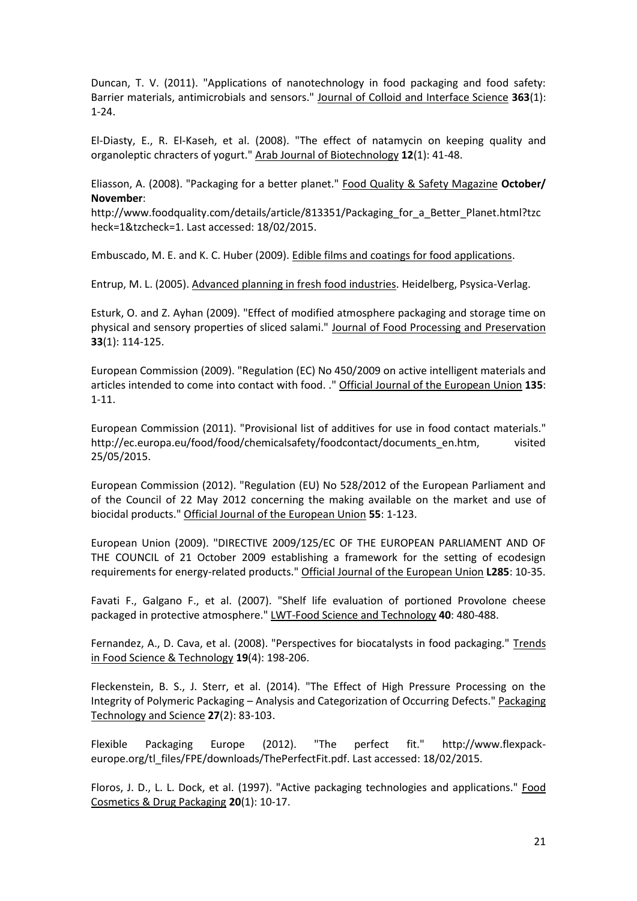Duncan, T. V. (2011). "Applications of nanotechnology in food packaging and food safety: Barrier materials, antimicrobials and sensors." Journal of Colloid and Interface Science **363**(1): 1-24.

El-Diasty, E., R. El-Kaseh, et al. (2008). "The effect of natamycin on keeping quality and organoleptic chracters of yogurt." Arab Journal of Biotechnology **12**(1): 41-48.

Eliasson, A. (2008). "Packaging for a better planet." Food Quality & Safety Magazine **October/ November**:

http://www.foodquality.com/details/article/813351/Packaging\_for\_a\_Better\_Planet.html?tzc heck=1&tzcheck=1. Last accessed: 18/02/2015.

Embuscado, M. E. and K. C. Huber (2009). Edible films and coatings for food applications.

Entrup, M. L. (2005). Advanced planning in fresh food industries. Heidelberg, Psysica-Verlag.

Esturk, O. and Z. Ayhan (2009). "Effect of modified atmosphere packaging and storage time on physical and sensory properties of sliced salami." Journal of Food Processing and Preservation **33**(1): 114-125.

European Commission (2009). "Regulation (EC) No 450/2009 on active intelligent materials and articles intended to come into contact with food. ." Official Journal of the European Union **135**: 1-11.

European Commission (2011). "Provisional list of additives for use in food contact materials." http://ec.europa.eu/food/food/chemicalsafety/foodcontact/documents\_en.htm, visited 25/05/2015.

European Commission (2012). "Regulation (EU) No 528/2012 of the European Parliament and of the Council of 22 May 2012 concerning the making available on the market and use of biocidal products." Official Journal of the European Union **55**: 1-123.

European Union (2009). "DIRECTIVE 2009/125/EC OF THE EUROPEAN PARLIAMENT AND OF THE COUNCIL of 21 October 2009 establishing a framework for the setting of ecodesign requirements for energy-related products." Official Journal of the European Union **L285**: 10-35.

Favati F., Galgano F., et al. (2007). "Shelf life evaluation of portioned Provolone cheese packaged in protective atmosphere." LWT-Food Science and Technology **40**: 480-488.

Fernandez, A., D. Cava, et al. (2008). "Perspectives for biocatalysts in food packaging." Trends in Food Science & Technology **19**(4): 198-206.

Fleckenstein, B. S., J. Sterr, et al. (2014). "The Effect of High Pressure Processing on the Integrity of Polymeric Packaging – Analysis and Categorization of Occurring Defects." Packaging Technology and Science **27**(2): 83-103.

Flexible Packaging Europe (2012). "The perfect fit." http://www.flexpackeurope.org/tl\_files/FPE/downloads/ThePerfectFit.pdf. Last accessed: 18/02/2015.

Floros, J. D., L. L. Dock, et al. (1997). "Active packaging technologies and applications." Food Cosmetics & Drug Packaging **20**(1): 10-17.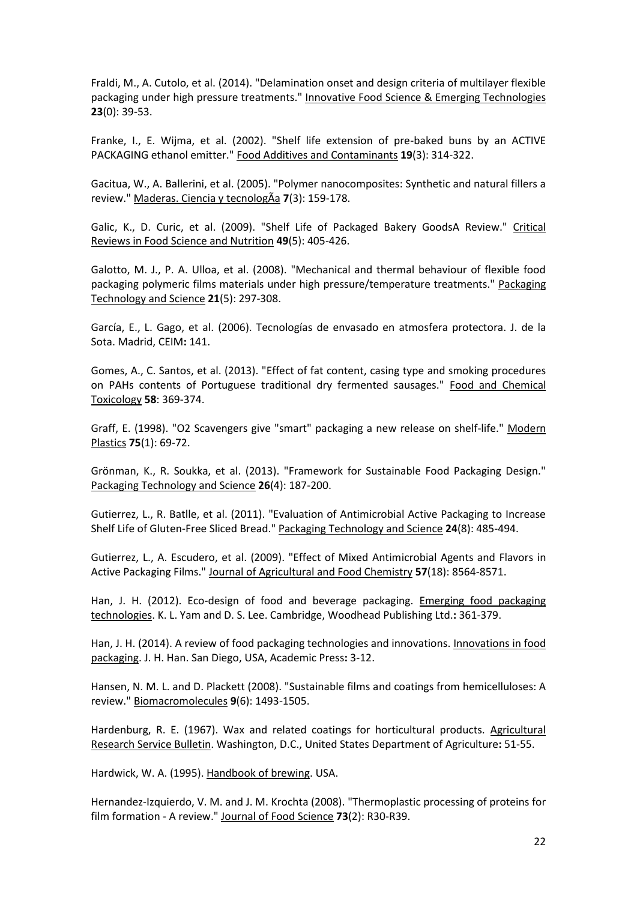Fraldi, M., A. Cutolo, et al. (2014). "Delamination onset and design criteria of multilayer flexible packaging under high pressure treatments." Innovative Food Science & Emerging Technologies **23**(0): 39-53.

Franke, I., E. Wijma, et al. (2002). "Shelf life extension of pre-baked buns by an ACTIVE PACKAGING ethanol emitter." Food Additives and Contaminants **19**(3): 314-322.

Gacitua, W., A. Ballerini, et al. (2005). "Polymer nanocomposites: Synthetic and natural fillers a review." Maderas. Ciencia y tecnologÃa **7**(3): 159-178.

Galic, K., D. Curic, et al. (2009). "Shelf Life of Packaged Bakery GoodsA Review." Critical Reviews in Food Science and Nutrition **49**(5): 405-426.

Galotto, M. J., P. A. Ulloa, et al. (2008). "Mechanical and thermal behaviour of flexible food packaging polymeric films materials under high pressure/temperature treatments." Packaging Technology and Science **21**(5): 297-308.

García, E., L. Gago, et al. (2006). Tecnologías de envasado en atmosfera protectora. J. de la Sota. Madrid, CEIM**:** 141.

Gomes, A., C. Santos, et al. (2013). "Effect of fat content, casing type and smoking procedures on PAHs contents of Portuguese traditional dry fermented sausages." Food and Chemical Toxicology **58**: 369-374.

Graff, E. (1998). "O2 Scavengers give "smart" packaging a new release on shelf-life." Modern Plastics **75**(1): 69-72.

Grönman, K., R. Soukka, et al. (2013). "Framework for Sustainable Food Packaging Design." Packaging Technology and Science **26**(4): 187-200.

Gutierrez, L., R. Batlle, et al. (2011). "Evaluation of Antimicrobial Active Packaging to Increase Shelf Life of Gluten-Free Sliced Bread." Packaging Technology and Science **24**(8): 485-494.

Gutierrez, L., A. Escudero, et al. (2009). "Effect of Mixed Antimicrobial Agents and Flavors in Active Packaging Films." Journal of Agricultural and Food Chemistry **57**(18): 8564-8571.

Han, J. H. (2012). Eco-design of food and beverage packaging. Emerging food packaging technologies. K. L. Yam and D. S. Lee. Cambridge, Woodhead Publishing Ltd.**:** 361-379.

Han, J. H. (2014). A review of food packaging technologies and innovations. Innovations in food packaging. J. H. Han. San Diego, USA, Academic Press**:** 3-12.

Hansen, N. M. L. and D. Plackett (2008). "Sustainable films and coatings from hemicelluloses: A review." Biomacromolecules **9**(6): 1493-1505.

Hardenburg, R. E. (1967). Wax and related coatings for horticultural products. Agricultural Research Service Bulletin. Washington, D.C., United States Department of Agriculture**:** 51-55.

Hardwick, W. A. (1995). Handbook of brewing. USA.

Hernandez-Izquierdo, V. M. and J. M. Krochta (2008). "Thermoplastic processing of proteins for film formation - A review." Journal of Food Science **73**(2): R30-R39.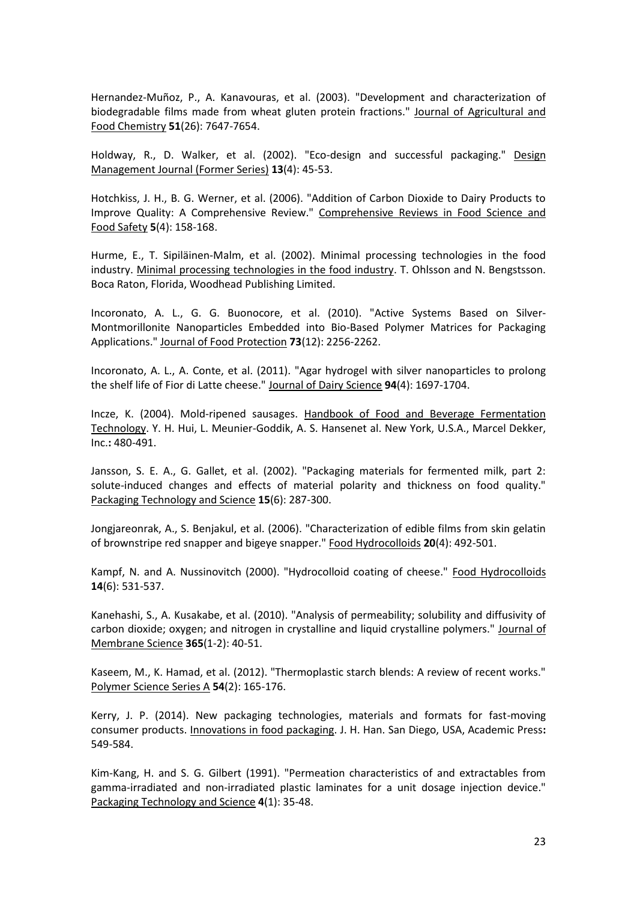Hernandez-Muñoz, P., A. Kanavouras, et al. (2003). "Development and characterization of biodegradable films made from wheat gluten protein fractions." Journal of Agricultural and Food Chemistry **51**(26): 7647-7654.

Holdway, R., D. Walker, et al. (2002). "Eco-design and successful packaging." Design Management Journal (Former Series) **13**(4): 45-53.

Hotchkiss, J. H., B. G. Werner, et al. (2006). "Addition of Carbon Dioxide to Dairy Products to Improve Quality: A Comprehensive Review." Comprehensive Reviews in Food Science and Food Safety **5**(4): 158-168.

Hurme, E., T. Sipiläinen-Malm, et al. (2002). Minimal processing technologies in the food industry. Minimal processing technologies in the food industry. T. Ohlsson and N. Bengstsson. Boca Raton, Florida, Woodhead Publishing Limited.

Incoronato, A. L., G. G. Buonocore, et al. (2010). "Active Systems Based on Silver-Montmorillonite Nanoparticles Embedded into Bio-Based Polymer Matrices for Packaging Applications." Journal of Food Protection **73**(12): 2256-2262.

Incoronato, A. L., A. Conte, et al. (2011). "Agar hydrogel with silver nanoparticles to prolong the shelf life of Fior di Latte cheese." Journal of Dairy Science **94**(4): 1697-1704.

Incze, K. (2004). Mold-ripened sausages. Handbook of Food and Beverage Fermentation Technology. Y. H. Hui, L. Meunier-Goddik, A. S. Hansenet al. New York, U.S.A., Marcel Dekker, Inc.**:** 480-491.

Jansson, S. E. A., G. Gallet, et al. (2002). "Packaging materials for fermented milk, part 2: solute-induced changes and effects of material polarity and thickness on food quality." Packaging Technology and Science **15**(6): 287-300.

Jongjareonrak, A., S. Benjakul, et al. (2006). "Characterization of edible films from skin gelatin of brownstripe red snapper and bigeye snapper." Food Hydrocolloids **20**(4): 492-501.

Kampf, N. and A. Nussinovitch (2000). "Hydrocolloid coating of cheese." Food Hydrocolloids **14**(6): 531-537.

Kanehashi, S., A. Kusakabe, et al. (2010). "Analysis of permeability; solubility and diffusivity of carbon dioxide; oxygen; and nitrogen in crystalline and liquid crystalline polymers." Journal of Membrane Science **365**(1-2): 40-51.

Kaseem, M., K. Hamad, et al. (2012). "Thermoplastic starch blends: A review of recent works." Polymer Science Series A **54**(2): 165-176.

Kerry, J. P. (2014). New packaging technologies, materials and formats for fast-moving consumer products. Innovations in food packaging. J. H. Han. San Diego, USA, Academic Press**:**  549-584.

Kim-Kang, H. and S. G. Gilbert (1991). "Permeation characteristics of and extractables from gamma-irradiated and non-irradiated plastic laminates for a unit dosage injection device." Packaging Technology and Science **4**(1): 35-48.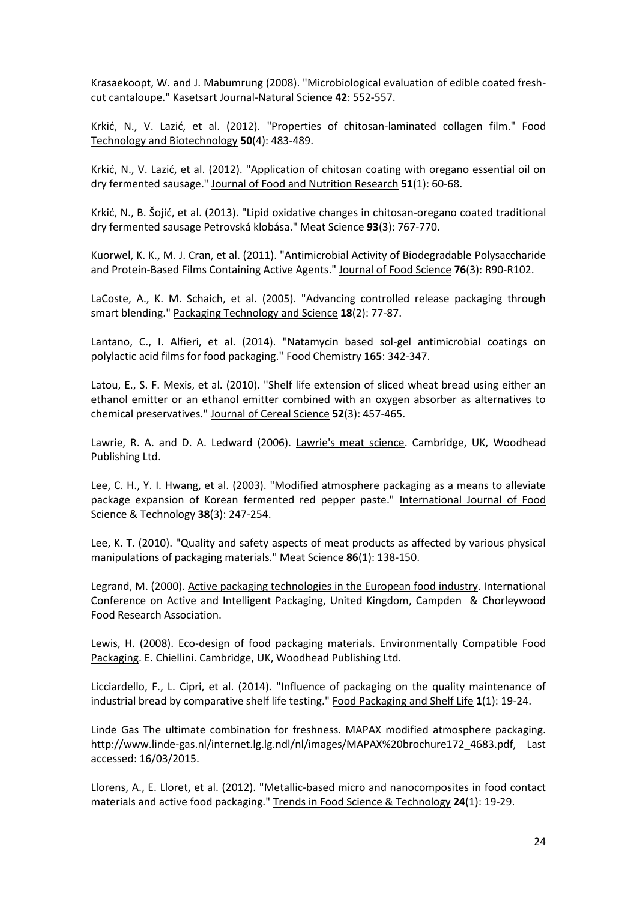Krasaekoopt, W. and J. Mabumrung (2008). "Microbiological evaluation of edible coated freshcut cantaloupe." Kasetsart Journal-Natural Science **42**: 552-557.

Krkić, N., V. Lazić, et al. (2012). "Properties of chitosan-laminated collagen film." Food Technology and Biotechnology **50**(4): 483-489.

Krkić, N., V. Lazić, et al. (2012). "Application of chitosan coating with oregano essential oil on dry fermented sausage." Journal of Food and Nutrition Research **51**(1): 60-68.

Krkić, N., B. Šojić, et al. (2013). "Lipid oxidative changes in chitosan-oregano coated traditional dry fermented sausage Petrovská klobása." Meat Science **93**(3): 767-770.

Kuorwel, K. K., M. J. Cran, et al. (2011). "Antimicrobial Activity of Biodegradable Polysaccharide and Protein-Based Films Containing Active Agents." Journal of Food Science **76**(3): R90-R102.

LaCoste, A., K. M. Schaich, et al. (2005). "Advancing controlled release packaging through smart blending." Packaging Technology and Science **18**(2): 77-87.

Lantano, C., I. Alfieri, et al. (2014). "Natamycin based sol-gel antimicrobial coatings on polylactic acid films for food packaging." Food Chemistry **165**: 342-347.

Latou, E., S. F. Mexis, et al. (2010). "Shelf life extension of sliced wheat bread using either an ethanol emitter or an ethanol emitter combined with an oxygen absorber as alternatives to chemical preservatives." Journal of Cereal Science **52**(3): 457-465.

Lawrie, R. A. and D. A. Ledward (2006). Lawrie's meat science. Cambridge, UK, Woodhead Publishing Ltd.

Lee, C. H., Y. I. Hwang, et al. (2003). "Modified atmosphere packaging as a means to alleviate package expansion of Korean fermented red pepper paste." International Journal of Food Science & Technology **38**(3): 247-254.

Lee, K. T. (2010). "Quality and safety aspects of meat products as affected by various physical manipulations of packaging materials." Meat Science **86**(1): 138-150.

Legrand, M. (2000). Active packaging technologies in the European food industry. International Conference on Active and Intelligent Packaging, United Kingdom, Campden & Chorleywood Food Research Association.

Lewis, H. (2008). Eco-design of food packaging materials. Environmentally Compatible Food Packaging. E. Chiellini. Cambridge, UK, Woodhead Publishing Ltd.

Licciardello, F., L. Cipri, et al. (2014). "Influence of packaging on the quality maintenance of industrial bread by comparative shelf life testing." Food Packaging and Shelf Life **1**(1): 19-24.

Linde Gas The ultimate combination for freshness. MAPAX modified atmosphere packaging. http://www.linde-gas.nl/internet.lg.lg.ndl/nl/images/MAPAX%20brochure172\_4683.pdf, Last accessed: 16/03/2015.

Llorens, A., E. Lloret, et al. (2012). "Metallic-based micro and nanocomposites in food contact materials and active food packaging." Trends in Food Science & Technology **24**(1): 19-29.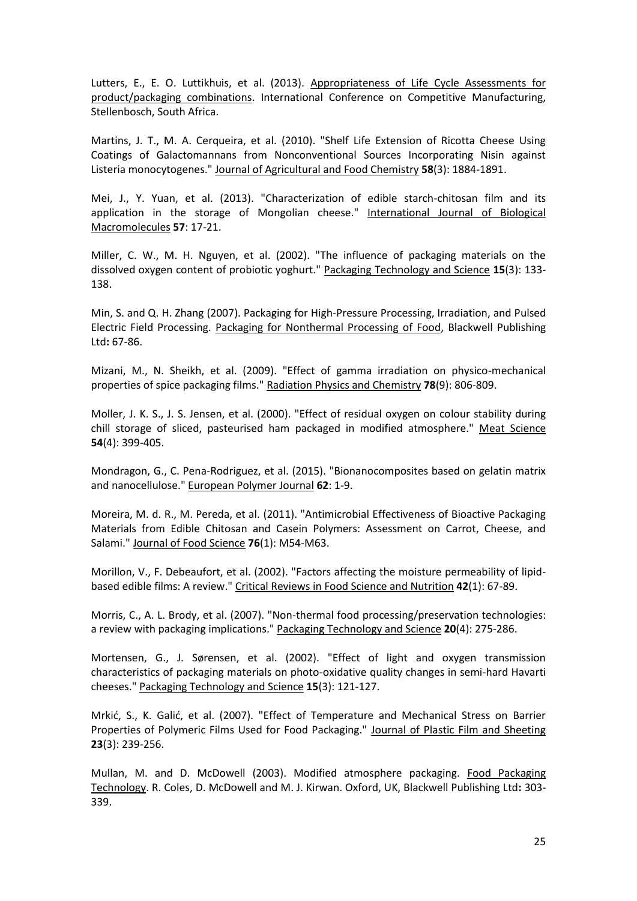Lutters, E., E. O. Luttikhuis, et al. (2013). Appropriateness of Life Cycle Assessments for product/packaging combinations. International Conference on Competitive Manufacturing, Stellenbosch, South Africa.

Martins, J. T., M. A. Cerqueira, et al. (2010). "Shelf Life Extension of Ricotta Cheese Using Coatings of Galactomannans from Nonconventional Sources Incorporating Nisin against Listeria monocytogenes." Journal of Agricultural and Food Chemistry **58**(3): 1884-1891.

Mei, J., Y. Yuan, et al. (2013). "Characterization of edible starch-chitosan film and its application in the storage of Mongolian cheese." International Journal of Biological Macromolecules **57**: 17-21.

Miller, C. W., M. H. Nguyen, et al. (2002). "The influence of packaging materials on the dissolved oxygen content of probiotic yoghurt." Packaging Technology and Science **15**(3): 133- 138.

Min, S. and Q. H. Zhang (2007). Packaging for High-Pressure Processing, Irradiation, and Pulsed Electric Field Processing. Packaging for Nonthermal Processing of Food, Blackwell Publishing Ltd**:** 67-86.

Mizani, M., N. Sheikh, et al. (2009). "Effect of gamma irradiation on physico-mechanical properties of spice packaging films." Radiation Physics and Chemistry **78**(9): 806-809.

Moller, J. K. S., J. S. Jensen, et al. (2000). "Effect of residual oxygen on colour stability during chill storage of sliced, pasteurised ham packaged in modified atmosphere." Meat Science **54**(4): 399-405.

Mondragon, G., C. Pena-Rodriguez, et al. (2015). "Bionanocomposites based on gelatin matrix and nanocellulose." European Polymer Journal **62**: 1-9.

Moreira, M. d. R., M. Pereda, et al. (2011). "Antimicrobial Effectiveness of Bioactive Packaging Materials from Edible Chitosan and Casein Polymers: Assessment on Carrot, Cheese, and Salami." Journal of Food Science **76**(1): M54-M63.

Morillon, V., F. Debeaufort, et al. (2002). "Factors affecting the moisture permeability of lipidbased edible films: A review." Critical Reviews in Food Science and Nutrition **42**(1): 67-89.

Morris, C., A. L. Brody, et al. (2007). "Non-thermal food processing/preservation technologies: a review with packaging implications." Packaging Technology and Science **20**(4): 275-286.

Mortensen, G., J. Sørensen, et al. (2002). "Effect of light and oxygen transmission characteristics of packaging materials on photo-oxidative quality changes in semi-hard Havarti cheeses." Packaging Technology and Science **15**(3): 121-127.

Mrkić, S., K. Galić, et al. (2007). "Effect of Temperature and Mechanical Stress on Barrier Properties of Polymeric Films Used for Food Packaging." Journal of Plastic Film and Sheeting **23**(3): 239-256.

Mullan, M. and D. McDowell (2003). Modified atmosphere packaging. Food Packaging Technology. R. Coles, D. McDowell and M. J. Kirwan. Oxford, UK, Blackwell Publishing Ltd**:** 303- 339.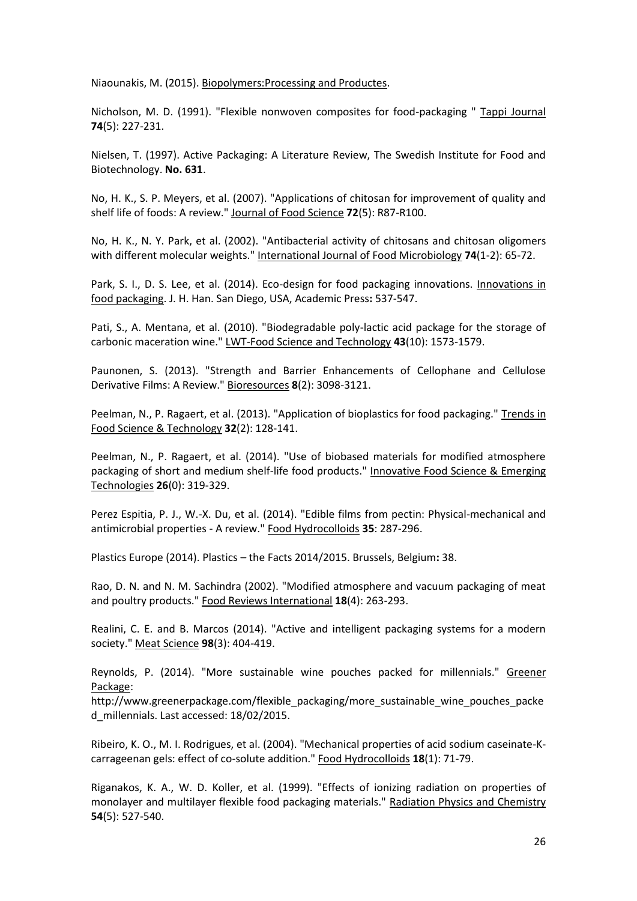Niaounakis, M. (2015). Biopolymers:Processing and Productes.

Nicholson, M. D. (1991). "Flexible nonwoven composites for food-packaging " Tappi Journal **74**(5): 227-231.

Nielsen, T. (1997). Active Packaging: A Literature Review, The Swedish Institute for Food and Biotechnology. **No. 631**.

No, H. K., S. P. Meyers, et al. (2007). "Applications of chitosan for improvement of quality and shelf life of foods: A review." Journal of Food Science **72**(5): R87-R100.

No, H. K., N. Y. Park, et al. (2002). "Antibacterial activity of chitosans and chitosan oligomers with different molecular weights." International Journal of Food Microbiology **74**(1-2): 65-72.

Park, S. I., D. S. Lee, et al. (2014). Eco-design for food packaging innovations. Innovations in food packaging. J. H. Han. San Diego, USA, Academic Press**:** 537-547.

Pati, S., A. Mentana, et al. (2010). "Biodegradable poly-lactic acid package for the storage of carbonic maceration wine." LWT-Food Science and Technology **43**(10): 1573-1579.

Paunonen, S. (2013). "Strength and Barrier Enhancements of Cellophane and Cellulose Derivative Films: A Review." Bioresources **8**(2): 3098-3121.

Peelman, N., P. Ragaert, et al. (2013). "Application of bioplastics for food packaging." Trends in Food Science & Technology **32**(2): 128-141.

Peelman, N., P. Ragaert, et al. (2014). "Use of biobased materials for modified atmosphere packaging of short and medium shelf-life food products." Innovative Food Science & Emerging Technologies **26**(0): 319-329.

Perez Espitia, P. J., W.-X. Du, et al. (2014). "Edible films from pectin: Physical-mechanical and antimicrobial properties - A review." Food Hydrocolloids **35**: 287-296.

Plastics Europe (2014). Plastics – the Facts 2014/2015. Brussels, Belgium**:** 38.

Rao, D. N. and N. M. Sachindra (2002). "Modified atmosphere and vacuum packaging of meat and poultry products." Food Reviews International **18**(4): 263-293.

Realini, C. E. and B. Marcos (2014). "Active and intelligent packaging systems for a modern society." Meat Science **98**(3): 404-419.

Reynolds, P. (2014). "More sustainable wine pouches packed for millennials." Greener Package:

http://www.greenerpackage.com/flexible\_packaging/more\_sustainable\_wine\_pouches\_packe d\_millennials. Last accessed: 18/02/2015.

Ribeiro, K. O., M. I. Rodrigues, et al. (2004). "Mechanical properties of acid sodium caseinate-Kcarrageenan gels: effect of co-solute addition." Food Hydrocolloids **18**(1): 71-79.

Riganakos, K. A., W. D. Koller, et al. (1999). "Effects of ionizing radiation on properties of monolayer and multilayer flexible food packaging materials." Radiation Physics and Chemistry **54**(5): 527-540.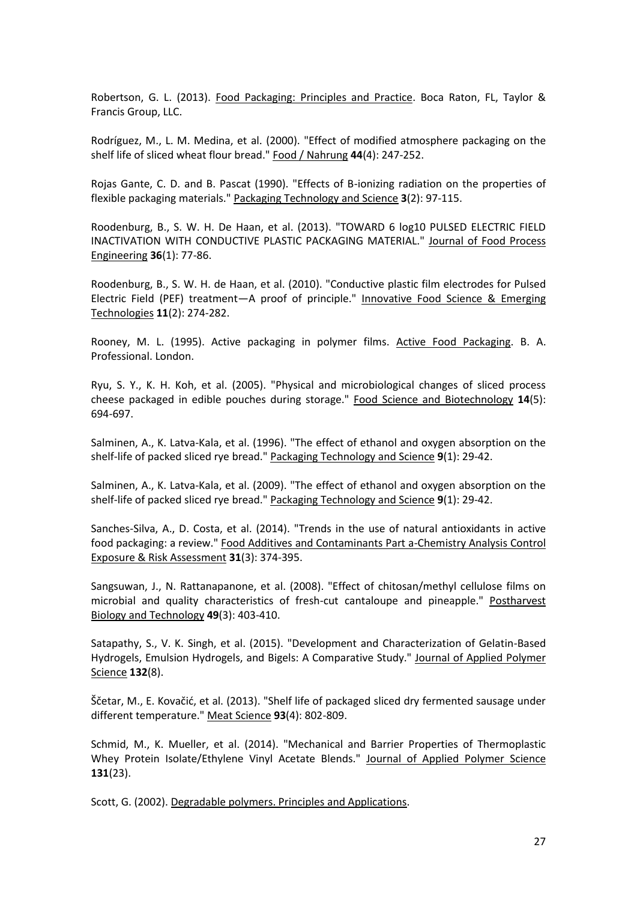Robertson, G. L. (2013). Food Packaging: Principles and Practice. Boca Raton, FL, Taylor & Francis Group, LLC.

Rodríguez, M., L. M. Medina, et al. (2000). "Effect of modified atmosphere packaging on the shelf life of sliced wheat flour bread." Food / Nahrung **44**(4): 247-252.

Rojas Gante, C. D. and B. Pascat (1990). "Effects of B-ionizing radiation on the properties of flexible packaging materials." Packaging Technology and Science **3**(2): 97-115.

Roodenburg, B., S. W. H. De Haan, et al. (2013). "TOWARD 6 log10 PULSED ELECTRIC FIELD INACTIVATION WITH CONDUCTIVE PLASTIC PACKAGING MATERIAL." Journal of Food Process Engineering **36**(1): 77-86.

Roodenburg, B., S. W. H. de Haan, et al. (2010). "Conductive plastic film electrodes for Pulsed Electric Field (PEF) treatment—A proof of principle." Innovative Food Science & Emerging Technologies **11**(2): 274-282.

Rooney, M. L. (1995). Active packaging in polymer films. Active Food Packaging. B. A. Professional. London.

Ryu, S. Y., K. H. Koh, et al. (2005). "Physical and microbiological changes of sliced process cheese packaged in edible pouches during storage." Food Science and Biotechnology **14**(5): 694-697.

Salminen, A., K. Latva-Kala, et al. (1996). "The effect of ethanol and oxygen absorption on the shelf-life of packed sliced rye bread." Packaging Technology and Science **9**(1): 29-42.

Salminen, A., K. Latva-Kala, et al. (2009). "The effect of ethanol and oxygen absorption on the shelf-life of packed sliced rye bread." Packaging Technology and Science **9**(1): 29-42.

Sanches-Silva, A., D. Costa, et al. (2014). "Trends in the use of natural antioxidants in active food packaging: a review." Food Additives and Contaminants Part a-Chemistry Analysis Control Exposure & Risk Assessment **31**(3): 374-395.

Sangsuwan, J., N. Rattanapanone, et al. (2008). "Effect of chitosan/methyl cellulose films on microbial and quality characteristics of fresh-cut cantaloupe and pineapple." Postharvest Biology and Technology **49**(3): 403-410.

Satapathy, S., V. K. Singh, et al. (2015). "Development and Characterization of Gelatin-Based Hydrogels, Emulsion Hydrogels, and Bigels: A Comparative Study." Journal of Applied Polymer Science **132**(8).

Ščetar, M., E. Kovačić, et al. (2013). "Shelf life of packaged sliced dry fermented sausage under different temperature." Meat Science **93**(4): 802-809.

Schmid, M., K. Mueller, et al. (2014). "Mechanical and Barrier Properties of Thermoplastic Whey Protein Isolate/Ethylene Vinyl Acetate Blends." Journal of Applied Polymer Science **131**(23).

Scott, G. (2002). Degradable polymers. Principles and Applications.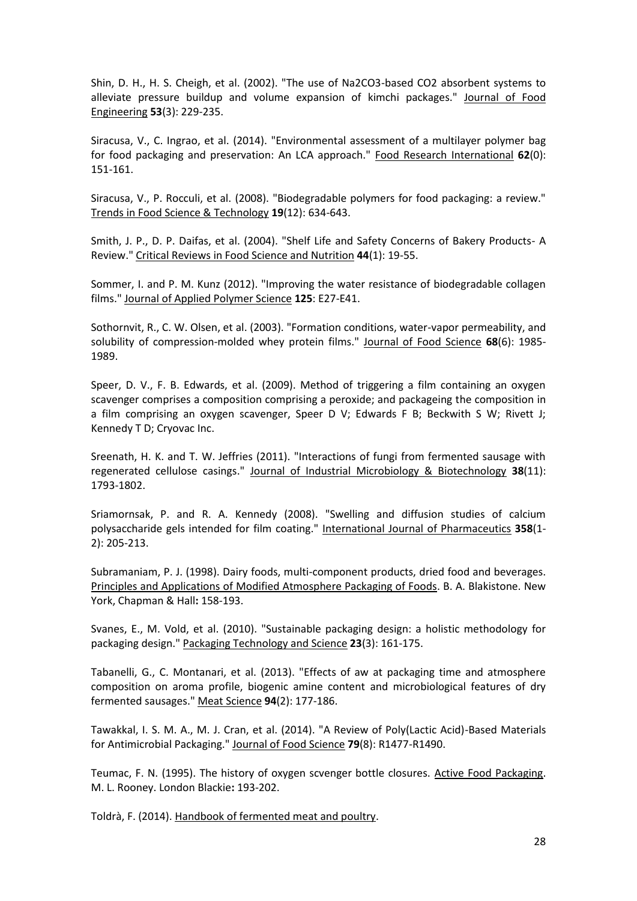Shin, D. H., H. S. Cheigh, et al. (2002). "The use of Na2CO3-based CO2 absorbent systems to alleviate pressure buildup and volume expansion of kimchi packages." Journal of Food Engineering **53**(3): 229-235.

Siracusa, V., C. Ingrao, et al. (2014). "Environmental assessment of a multilayer polymer bag for food packaging and preservation: An LCA approach." Food Research International **62**(0): 151-161.

Siracusa, V., P. Rocculi, et al. (2008). "Biodegradable polymers for food packaging: a review." Trends in Food Science & Technology **19**(12): 634-643.

Smith, J. P., D. P. Daifas, et al. (2004). "Shelf Life and Safety Concerns of Bakery Products- A Review." Critical Reviews in Food Science and Nutrition **44**(1): 19-55.

Sommer, I. and P. M. Kunz (2012). "Improving the water resistance of biodegradable collagen films." Journal of Applied Polymer Science **125**: E27-E41.

Sothornvit, R., C. W. Olsen, et al. (2003). "Formation conditions, water-vapor permeability, and solubility of compression-molded whey protein films." Journal of Food Science **68**(6): 1985- 1989.

Speer, D. V., F. B. Edwards, et al. (2009). Method of triggering a film containing an oxygen scavenger comprises a composition comprising a peroxide; and packageing the composition in a film comprising an oxygen scavenger, Speer D V; Edwards F B; Beckwith S W; Rivett J; Kennedy T D; Cryovac Inc.

Sreenath, H. K. and T. W. Jeffries (2011). "Interactions of fungi from fermented sausage with regenerated cellulose casings." Journal of Industrial Microbiology & Biotechnology **38**(11): 1793-1802.

Sriamornsak, P. and R. A. Kennedy (2008). "Swelling and diffusion studies of calcium polysaccharide gels intended for film coating." International Journal of Pharmaceutics **358**(1- 2): 205-213.

Subramaniam, P. J. (1998). Dairy foods, multi-component products, dried food and beverages. Principles and Applications of Modified Atmosphere Packaging of Foods. B. A. Blakistone. New York, Chapman & Hall**:** 158-193.

Svanes, E., M. Vold, et al. (2010). "Sustainable packaging design: a holistic methodology for packaging design." Packaging Technology and Science **23**(3): 161-175.

Tabanelli, G., C. Montanari, et al. (2013). "Effects of aw at packaging time and atmosphere composition on aroma profile, biogenic amine content and microbiological features of dry fermented sausages." Meat Science **94**(2): 177-186.

Tawakkal, I. S. M. A., M. J. Cran, et al. (2014). "A Review of Poly(Lactic Acid)-Based Materials for Antimicrobial Packaging." Journal of Food Science **79**(8): R1477-R1490.

Teumac, F. N. (1995). The history of oxygen scvenger bottle closures. Active Food Packaging. M. L. Rooney. London Blackie**:** 193-202.

Toldrà, F. (2014). Handbook of fermented meat and poultry.